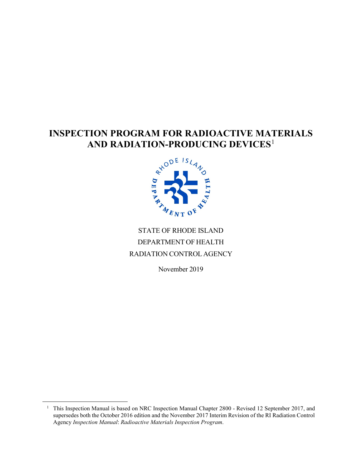# **INSPECTION PROGRAM FOR RADIOACTIVE MATERIALS**<br>AND RADIATION-PRODUCING DEVICES<sup>1</sup> **AND RADIATION-PRODUCING DEVICES**[1](#page-0-0)



# STATE OF RHODE ISLAND DEPARTMENT OF HEALTH RADIATION CONTROL AGENCY

November 2019

<span id="page-0-0"></span><sup>&</sup>lt;sup>1</sup> This Inspection Manual is based on NRC Inspection Manual Chapter 2800 - Revised 12 September 2017, and supersedes both the October 2016 edition and the November 2017 Interim Revision of the RI Radiation Control Agency *Inspection Manual*: *Radioactive Materials Inspection Program*.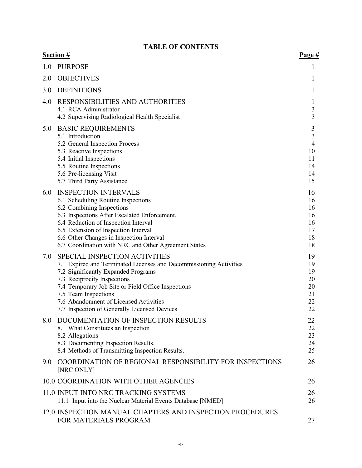# **TABLE OF CONTENTS**

|     | <b>Section #</b>                                                                                                                                                                                                                                                                                                                                  | Page #                                                              |
|-----|---------------------------------------------------------------------------------------------------------------------------------------------------------------------------------------------------------------------------------------------------------------------------------------------------------------------------------------------------|---------------------------------------------------------------------|
| 1.0 | <b>PURPOSE</b>                                                                                                                                                                                                                                                                                                                                    | 1                                                                   |
| 2.0 | <b>OBJECTIVES</b>                                                                                                                                                                                                                                                                                                                                 | $\mathbf{I}$                                                        |
| 3.0 | <b>DEFINITIONS</b>                                                                                                                                                                                                                                                                                                                                | 1                                                                   |
| 4.0 | RESPONSIBILITIES AND AUTHORITIES<br>4.1 RCA Administrator<br>4.2 Supervising Radiological Health Specialist                                                                                                                                                                                                                                       | $\mathbf{I}$<br>3<br>$\overline{3}$                                 |
| 5.0 | <b>BASIC REQUIREMENTS</b><br>5.1 Introduction<br>5.2 General Inspection Process<br>5.3 Reactive Inspections<br>5.4 Initial Inspections<br>5.5 Routine Inspections<br>5.6 Pre-licensing Visit<br>5.7 Third Party Assistance                                                                                                                        | $\mathfrak{Z}$<br>3<br>$\overline{4}$<br>10<br>11<br>14<br>14<br>15 |
| 6.0 | <b>INSPECTION INTERVALS</b><br>6.1 Scheduling Routine Inspections<br>6.2 Combining Inspections<br>6.3 Inspections After Escalated Enforcement.<br>6.4 Reduction of Inspection Interval<br>6.5 Extension of Inspection Interval<br>6.6 Other Changes in Inspection Interval<br>6.7 Coordination with NRC and Other Agreement States                | 16<br>16<br>16<br>16<br>16<br>17<br>18<br>18                        |
| 7.0 | SPECIAL INSPECTION ACTIVITIES<br>7.1 Expired and Terminated Licenses and Decommissioning Activities<br>7.2 Significantly Expanded Programs<br>7.3 Reciprocity Inspections<br>7.4 Temporary Job Site or Field Office Inspections<br>7.5 Team Inspections<br>7.6 Abandonment of Licensed Activities<br>7.7 Inspection of Generally Licensed Devices | 19<br>19<br>19<br>20<br>20<br>21<br>22<br>22                        |
| 8.0 | DOCUMENTATION OF INSPECTION RESULTS<br>8.1 What Constitutes an Inspection<br>8.2 Allegations<br>8.3 Documenting Inspection Results.<br>8.4 Methods of Transmitting Inspection Results.                                                                                                                                                            | 22<br>22<br>23<br>24<br>25                                          |
| 9.0 | COORDINATION OF REGIONAL RESPONSIBILITY FOR INSPECTIONS<br>[NRC ONLY]                                                                                                                                                                                                                                                                             | 26                                                                  |
|     | 10.0 COORDINATION WITH OTHER AGENCIES                                                                                                                                                                                                                                                                                                             | 26                                                                  |
|     | 11.0 INPUT INTO NRC TRACKING SYSTEMS<br>11.1 Input into the Nuclear Material Events Database [NMED]                                                                                                                                                                                                                                               | 26<br>26                                                            |
|     | 12.0 INSPECTION MANUAL CHAPTERS AND INSPECTION PROCEDURES<br>FOR MATERIALS PROGRAM                                                                                                                                                                                                                                                                | 27                                                                  |
|     |                                                                                                                                                                                                                                                                                                                                                   |                                                                     |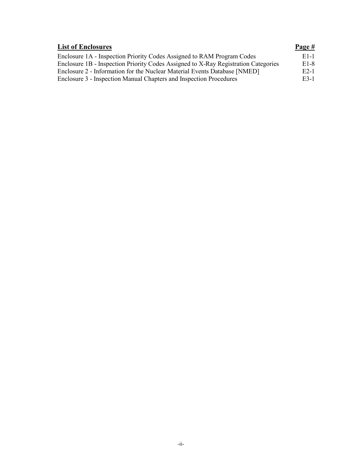| <b>List of Enclosures</b>                                                          | Page #            |
|------------------------------------------------------------------------------------|-------------------|
| Enclosure 1A - Inspection Priority Codes Assigned to RAM Program Codes             | E <sub>1</sub> -1 |
| Enclosure 1B - Inspection Priority Codes Assigned to X-Ray Registration Categories | E <sub>1</sub> -8 |
| Enclosure 2 - Information for the Nuclear Material Events Database [NMED]          | E <sub>2</sub> -1 |
| Enclosure 3 - Inspection Manual Chapters and Inspection Procedures                 | E3-1              |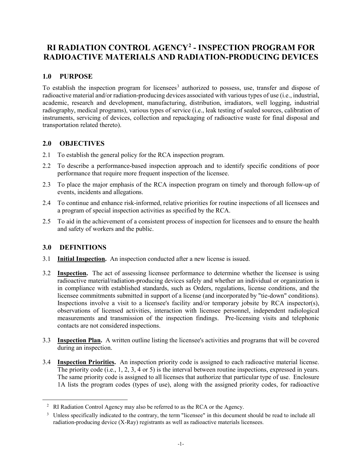# **RI RADIATION CONTROL AGENCY[2](#page-3-0) - INSPECTION PROGRAM FOR RADIOACTIVE MATERIALS AND RADIATION-PRODUCING DEVICES**

# **1.0 PURPOSE**

To establish the inspection program for licensees<sup>[3](#page-3-1)</sup> authorized to possess, use, transfer and dispose of radioactive material and/or radiation-producing devices associated with various types of use (i.e., industrial, academic, research and development, manufacturing, distribution, irradiators, well logging, industrial radiography, medical programs), various types of service (i.e., leak testing of sealed sources, calibration of instruments, servicing of devices, collection and repackaging of radioactive waste for final disposal and transportation related thereto).

# **2.0 OBJECTIVES**

- 2.1 To establish the general policy for the RCA inspection program.
- 2.2 To describe a performance-based inspection approach and to identify specific conditions of poor performance that require more frequent inspection of the licensee.
- 2.3 To place the major emphasis of the RCA inspection program on timely and thorough follow-up of events, incidents and allegations.
- 2.4 To continue and enhance risk-informed, relative priorities for routine inspections of all licensees and a program of special inspection activities as specified by the RCA.
- 2.5 To aid in the achievement of a consistent process of inspection for licensees and to ensure the health and safety of workers and the public.

## **3.0 DEFINITIONS**

- 3.1 **Initial Inspection.** An inspection conducted after a new license is issued.
- 3.2 **Inspection.** The act of assessing licensee performance to determine whether the licensee is using radioactive material/radiation-producing devices safely and whether an individual or organization is in compliance with established standards, such as Orders, regulations, license conditions, and the licensee commitments submitted in support of a license (and incorporated by "tie-down" conditions). Inspections involve a visit to a licensee's facility and/or temporary jobsite by RCA inspector(s), observations of licensed activities, interaction with licensee personnel, independent radiological measurements and transmission of the inspection findings. Pre-licensing visits and telephonic contacts are not considered inspections.
- 3.3 **Inspection Plan.** A written outline listing the licensee's activities and programs that will be covered during an inspection.
- 3.4 **Inspection Priorities.** An inspection priority code is assigned to each radioactive material license. The priority code (i.e., 1, 2, 3, 4 or 5) is the interval between routine inspections, expressed in years. The same priority code is assigned to all licenses that authorize that particular type of use. Enclosure 1A lists the program codes (types of use), along with the assigned priority codes, for radioactive

<span id="page-3-0"></span><sup>&</sup>lt;sup>2</sup> RI Radiation Control Agency may also be referred to as the RCA or the Agency.

<span id="page-3-1"></span><sup>&</sup>lt;sup>3</sup> Unless specifically indicated to the contrary, the term "licensee" in this document should be read to include all radiation-producing device (X-Ray) registrants as well as radioactive materials licensees.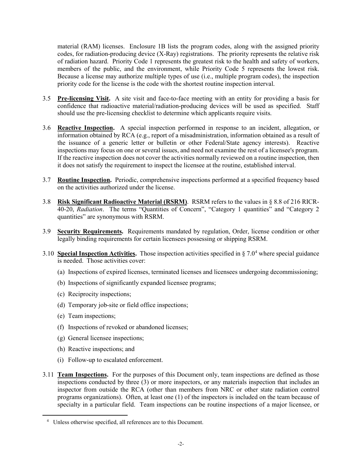material (RAM) licenses. Enclosure 1B lists the program codes, along with the assigned priority codes, for radiation-producing device (X-Ray) registrations. The priority represents the relative risk of radiation hazard. Priority Code 1 represents the greatest risk to the health and safety of workers, members of the public, and the environment, while Priority Code 5 represents the lowest risk. Because a license may authorize multiple types of use (i.e., multiple program codes), the inspection priority code for the license is the code with the shortest routine inspection interval.

- 3.5 **Pre-licensing Visit.** A site visit and face-to-face meeting with an entity for providing a basis for confidence that radioactive material/radiation-producing devices will be used as specified. Staff should use the pre-licensing checklist to determine which applicants require visits.
- 3.6 **Reactive Inspection.** A special inspection performed in response to an incident, allegation, or information obtained by RCA (e.g., report of a misadministration, information obtained as a result of the issuance of a generic letter or bulletin or other Federal/State agency interests). Reactive inspections may focus on one or several issues, and need not examine the rest of a licensee's program. If the reactive inspection does not cover the activities normally reviewed on a routine inspection, then it does not satisfy the requirement to inspect the licensee at the routine, established interval.
- 3.7 **Routine Inspection.** Periodic, comprehensive inspections performed at a specified frequency based on the activities authorized under the license.
- 3.8 **Risk Significant Radioactive Material (RSRM)**. RSRM refers to the values in § 8.8 of 216 RICR-40-20, *Radiation*. The terms "Quantities of Concern", "Category 1 quantities" and "Category 2 quantities" are synonymous with RSRM.
- 3.9 **Security Requirements.** Requirements mandated by regulation, Order, license condition or other legally binding requirements for certain licensees possessing or shipping RSRM.
- 3.10 **Special Inspection Activities.** Those inspection activities specified in § 7.0[4](#page-4-0) where special guidance is needed. Those activities cover:
	- (a) Inspections of expired licenses, terminated licenses and licensees undergoing decommissioning;
	- (b) Inspections of significantly expanded licensee programs;
	- (c) Reciprocity inspections;
	- (d) Temporary job-site or field office inspections;
	- (e) Team inspections;

- (f) Inspections of revoked or abandoned licenses;
- (g) General licensee inspections;
- (h) Reactive inspections; and
- (i) Follow-up to escalated enforcement.
- 3.11 **Team Inspections.** For the purposes of this Document only, team inspections are defined as those inspections conducted by three (3) or more inspectors, or any materials inspection that includes an inspector from outside the RCA (other than members from NRC or other state radiation control programs organizations). Often, at least one (1) of the inspectors is included on the team because of specialty in a particular field. Team inspections can be routine inspections of a major licensee, or

<span id="page-4-0"></span><sup>4</sup> Unless otherwise specified, all references are to this Document.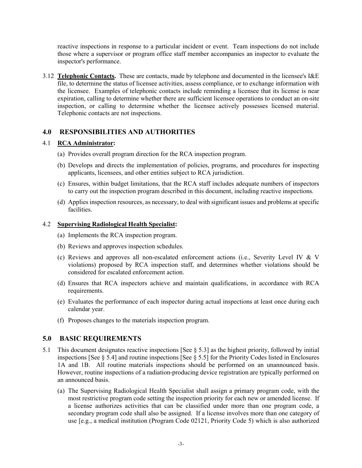reactive inspections in response to a particular incident or event. Team inspections do not include those where a supervisor or program office staff member accompanies an inspector to evaluate the inspector's performance.

3.12 **Telephonic Contacts.** These are contacts, made by telephone and documented in the licensee's I&E file, to determine the status of licensee activities, assess compliance, or to exchange information with the licensee. Examples of telephonic contacts include reminding a licensee that its license is near expiration, calling to determine whether there are sufficient licensee operations to conduct an on-site inspection, or calling to determine whether the licensee actively possesses licensed material. Telephonic contacts are not inspections.

# **4.0 RESPONSIBILITIES AND AUTHORITIES**

#### 4.1 **RCA Administrator:**

- (a) Provides overall program direction for the RCA inspection program.
- (b) Develops and directs the implementation of policies, programs, and procedures for inspecting applicants, licensees, and other entities subject to RCA jurisdiction.
- (c) Ensures, within budget limitations, that the RCA staff includes adequate numbers of inspectors to carry out the inspection program described in this document, including reactive inspections.
- (d) Applies inspection resources, as necessary, to deal with significant issues and problems at specific facilities.

#### 4.2 **Supervising Radiological Health Specialist:**

- (a) Implements the RCA inspection program.
- (b) Reviews and approves inspection schedules.
- (c) Reviews and approves all non-escalated enforcement actions (i.e., Severity Level IV & V violations) proposed by RCA inspection staff, and determines whether violations should be considered for escalated enforcement action.
- (d) Ensures that RCA inspectors achieve and maintain qualifications, in accordance with RCA requirements.
- (e) Evaluates the performance of each inspector during actual inspections at least once during each calendar year.
- (f) Proposes changes to the materials inspection program.

## **5.0 BASIC REQUIREMENTS**

- 5.1 This document designates reactive inspections [See § 5.3] as the highest priority, followed by initial inspections [See § 5.4] and routine inspections [See § 5.5] for the Priority Codes listed in Enclosures 1A and 1B. All routine materials inspections should be performed on an unannounced basis. However, routine inspections of a radiation-producing device registration are typically performed on an announced basis.
	- (a) The Supervising Radiological Health Specialist shall assign a primary program code, with the most restrictive program code setting the inspection priority for each new or amended license. If a license authorizes activities that can be classified under more than one program code, a secondary program code shall also be assigned. If a license involves more than one category of use [e.g., a medical institution (Program Code 02121, Priority Code 5) which is also authorized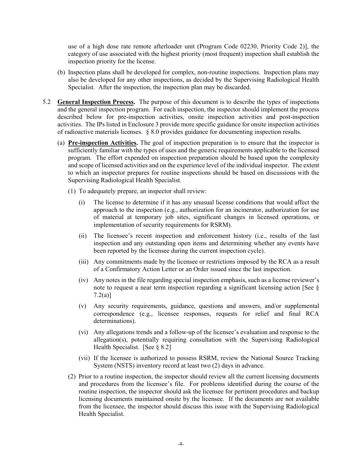use of a high dose rate remote afterloader unit (Program Code 02230, Priority Code 2)], the category of use associated with the highest priority (most frequent) inspection shall establish the inspection priority for the license.

- (b) Inspection plans shall be developed for complex, non-routine inspections. Inspection plans may also be developed for any other inspections, as decided by the Supervising Radiological Health Specialist. After the inspection, the inspection plan may be discarded.
- 5.2 **General Inspection Process.** The purpose of this document is to describe the types of inspections and the general inspection program. For each inspection, the inspector should implement the process described below for pre-inspection activities, onsite inspection activities and post-inspection activities. The IPs listed in Enclosure 3 provide more specific guidance for onsite inspection activities of radioactive materials licenses. § 8.0 provides guidance for documenting inspection results.
	- (a) **Pre-inspection Activities.** The goal of inspection preparation is to ensure that the inspector is sufficiently familiar with the types of uses and the generic requirements applicable to the licensed program. The effort expended on inspection preparation should be based upon the complexity and scope of licensed activities and on the experience level of the individual inspector. The extent to which an inspector prepares for routine inspections should be based on discussions with the Supervising Radiological Health Specialist.
		- (1) To adequately prepare, an inspector shall review:
			- (i) The license to determine if it has any unusual license conditions that would affect the approach to the inspection (e.g., authorization for an incinerator, authorization for use of material at temporary job sites, significant changes in licensed operations, or implementation of security requirements for RSRM).
			- (ii) The licensee's recent inspection and enforcement history (i.e., results of the last inspection and any outstanding open items and determining whether any events have been reported by the licensee during the current inspection cycle).
			- (iii) Any commitments made by the licensee or restrictions imposed by the RCA as a result of a Confirmatory Action Letter or an Order issued since the last inspection.
			- (iv) Any notes in the file regarding special inspection emphasis, such as a license reviewer's note to request a near term inspection regarding a significant licensing action [See § 7.2(a)]
			- (v) Any security requirements, guidance, questions and answers, and/or supplemental correspondence (e.g., licensee responses, requests for relief and final RCA determinations).
			- (vi) Any allegations trends and a follow-up of the licensee's evaluation and response to the allegation(s), potentially requiring consultation with the Supervising Radiological Health Specialist. [See § 8.2]
			- (vii) If the licensee is authorized to possess RSRM, review the National Source Tracking System (NSTS) inventory record at least two (2) days in advance.
		- (2) Prior to a routine inspection, the inspector should review all the current licensing documents and procedures from the licensee's file. For problems identified during the course of the routine inspection, the inspector should ask the licensee for pertinent procedures and backup licensing documents maintained onsite by the licensee. If the documents are not available from the licensee, the inspector should discuss this issue with the Supervising Radiological Health Specialist.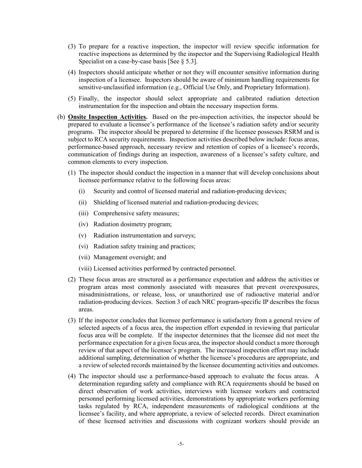- (3) To prepare for a reactive inspection, the inspector will review specific information for reactive inspections as determined by the inspector and the Supervising Radiological Health Specialist on a case-by-case basis [See § 5.3].
- (4) Inspectors should anticipate whether or not they will encounter sensitive information during inspection of a licensee. Inspectors should be aware of minimum handling requirements for sensitive-unclassified information (e.g., Official Use Only, and Proprietary Information).
- (5) Finally, the inspector should select appropriate and calibrated radiation detection instrumentation for the inspection and obtain the necessary inspection forms.
- (b) **Onsite Inspection Activities.** Based on the pre-inspection activities, the inspector should be prepared to evaluate a licensee's performance of the licensee's radiation safety and/or security programs. The inspector should be prepared to determine if the licensee possesses RSRM and is subject to RCA security requirements. Inspection activities described below include: focus areas, performance-based approach, necessary review and retention of copies of a licensee's records, communication of findings during an inspection, awareness of a licensee's safety culture, and common elements to every inspection.
	- (1) The inspector should conduct the inspection in a manner that will develop conclusions about licensee performance relative to the following focus areas:
		- (i) Security and control of licensed material and radiation-producing devices;
		- (ii) Shielding of licensed material and radiation-producing devices;
		- (iii) Comprehensive safety measures;
		- (iv) Radiation dosimetry program;
		- (v) Radiation instrumentation and surveys;
		- (vi) Radiation safety training and practices;
		- (vii) Management oversight; and
		- (viii) Licensed activities performed by contracted personnel.
	- (2) These focus areas are structured as a performance expectation and address the activities or program areas most commonly associated with measures that prevent overexposures, misadministrations, or release, loss, or unauthorized use of radioactive material and/or radiation-producing devices. Section 3 of each NRC program-specific IP describes the focus areas.
	- (3) If the inspector concludes that licensee performance is satisfactory from a general review of selected aspects of a focus area, the inspection effort expended in reviewing that particular focus area will be complete. If the inspector determines that the licensee did not meet the performance expectation for a given focus area, the inspector should conduct a more thorough review of that aspect of the licensee's program. The increased inspection effort may include additional sampling, determination of whether the licensee's procedures are appropriate, and a review of selected records maintained by the licensee documenting activities and outcomes.
	- (4) The inspector should use a performance-based approach to evaluate the focus areas. A determination regarding safety and compliance with RCA requirements should be based on direct observation of work activities, interviews with licensee workers and contracted personnel performing licensed activities, demonstrations by appropriate workers performing tasks regulated by RCA, independent measurements of radiological conditions at the licensee's facility, and where appropriate, a review of selected records. Direct examination of these licensed activities and discussions with cognizant workers should provide an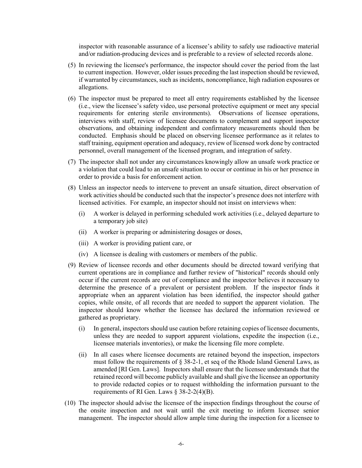inspector with reasonable assurance of a licensee's ability to safely use radioactive material and/or radiation-producing devices and is preferable to a review of selected records alone.

- (5) In reviewing the licensee's performance, the inspector should cover the period from the last to current inspection. However, older issues preceding the last inspection should be reviewed, if warranted by circumstances, such as incidents, noncompliance, high radiation exposures or allegations.
- (6) The inspector must be prepared to meet all entry requirements established by the licensee (i.e., view the licensee's safety video, use personal protective equipment or meet any special requirements for entering sterile environments). Observations of licensee operations, interviews with staff, review of licensee documents to complement and support inspector observations, and obtaining independent and confirmatory measurements should then be conducted. Emphasis should be placed on observing licensee performance as it relates to staff training, equipment operation and adequacy, review of licensed work done by contracted personnel, overall management of the licensed program, and integration of safety.
- (7) The inspector shall not under any circumstances knowingly allow an unsafe work practice or a violation that could lead to an unsafe situation to occur or continue in his or her presence in order to provide a basis for enforcement action.
- (8) Unless an inspector needs to intervene to prevent an unsafe situation, direct observation of work activities should be conducted such that the inspector's presence does not interfere with licensed activities. For example, an inspector should not insist on interviews when:
	- (i) A worker is delayed in performing scheduled work activities (i.e., delayed departure to a temporary job site)
	- (ii) A worker is preparing or administering dosages or doses,
	- (iii) A worker is providing patient care, or
	- (iv) A licensee is dealing with customers or members of the public.
- (9) Review of licensee records and other documents should be directed toward verifying that current operations are in compliance and further review of "historical" records should only occur if the current records are out of compliance and the inspector believes it necessary to determine the presence of a prevalent or persistent problem. If the inspector finds it appropriate when an apparent violation has been identified, the inspector should gather copies, while onsite, of all records that are needed to support the apparent violation. The inspector should know whether the licensee has declared the information reviewed or gathered as proprietary.
	- (i) In general, inspectors should use caution before retaining copies of licensee documents, unless they are needed to support apparent violations, expedite the inspection (i.e., licensee materials inventories), or make the licensing file more complete.
	- (ii) In all cases where licensee documents are retained beyond the inspection, inspectors must follow the requirements of  $\S$  38-2-1, et seq of the Rhode Island General Laws, as amended [RI Gen. Laws]. Inspectors shall ensure that the licensee understands that the retained record will become publicly available and shall give the licensee an opportunity to provide redacted copies or to request withholding the information pursuant to the requirements of RI Gen. Laws § 38-2-2(4)(B).
- (10) The inspector should advise the licensee of the inspection findings throughout the course of the onsite inspection and not wait until the exit meeting to inform licensee senior management. The inspector should allow ample time during the inspection for a licensee to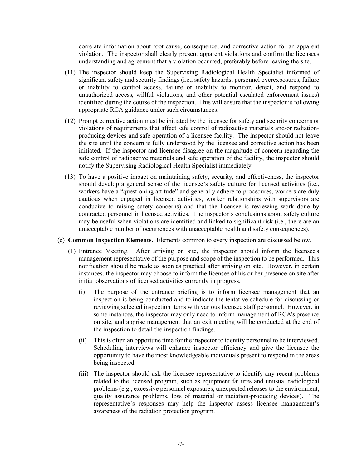correlate information about root cause, consequence, and corrective action for an apparent violation. The inspector shall clearly present apparent violations and confirm the licensees understanding and agreement that a violation occurred, preferably before leaving the site.

- (11) The inspector should keep the Supervising Radiological Health Specialist informed of significant safety and security findings (i.e., safety hazards, personnel overexposures, failure or inability to control access, failure or inability to monitor, detect, and respond to unauthorized access, willful violations, and other potential escalated enforcement issues) identified during the course of the inspection. This will ensure that the inspector is following appropriate RCA guidance under such circumstances.
- (12) Prompt corrective action must be initiated by the licensee for safety and security concerns or violations of requirements that affect safe control of radioactive materials and/or radiationproducing devices and safe operation of a licensee facility. The inspector should not leave the site until the concern is fully understood by the licensee and corrective action has been initiated. If the inspector and licensee disagree on the magnitude of concern regarding the safe control of radioactive materials and safe operation of the facility, the inspector should notify the Supervising Radiological Health Specialist immediately.
- (13) To have a positive impact on maintaining safety, security, and effectiveness, the inspector should develop a general sense of the licensee's safety culture for licensed activities (i.e., workers have a "questioning attitude" and generally adhere to procedures, workers are duly cautious when engaged in licensed activities, worker relationships with supervisors are conducive to raising safety concerns) and that the licensee is reviewing work done by contracted personnel in licensed activities. The inspector's conclusions about safety culture may be useful when violations are identified and linked to significant risk (i.e., there are an unacceptable number of occurrences with unacceptable health and safety consequences).
- (c) **Common Inspection Elements.** Elements common to every inspection are discussed below.
	- (1) Entrance Meeting. After arriving on site, the inspector should inform the licensee's management representative of the purpose and scope of the inspection to be performed. This notification should be made as soon as practical after arriving on site. However, in certain instances, the inspector may choose to inform the licensee of his or her presence on site after initial observations of licensed activities currently in progress.
		- (i) The purpose of the entrance briefing is to inform licensee management that an inspection is being conducted and to indicate the tentative schedule for discussing or reviewing selected inspection items with various licensee staff personnel. However, in some instances, the inspector may only need to inform management of RCA's presence on site, and apprise management that an exit meeting will be conducted at the end of the inspection to detail the inspection findings.
		- (ii) This is often an opportune time for the inspector to identify personnel to be interviewed. Scheduling interviews will enhance inspector efficiency and give the licensee the opportunity to have the most knowledgeable individuals present to respond in the areas being inspected.
		- (iii) The inspector should ask the licensee representative to identify any recent problems related to the licensed program, such as equipment failures and unusual radiological problems (e.g., excessive personnel exposures, unexpected releases to the environment, quality assurance problems, loss of material or radiation-producing devices). The representative's responses may help the inspector assess licensee management's awareness of the radiation protection program.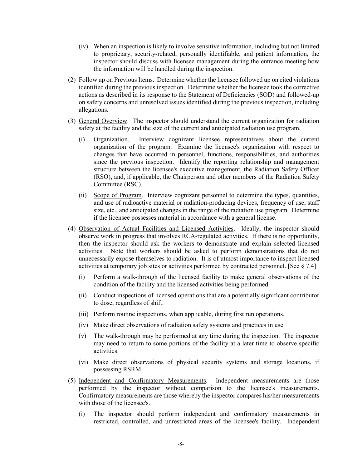- (iv) When an inspection is likely to involve sensitive information, including but not limited to proprietary, security-related, personally identifiable, and patient information, the inspector should discuss with licensee management during the entrance meeting how the information will be handled during the inspection.
- (2) Follow up on Previous Items. Determine whether the licensee followed up on cited violations identified during the previous inspection. Determine whether the licensee took the corrective actions as described in its response to the Statement of Deficiencies (SOD) and followed-up on safety concerns and unresolved issues identified during the previous inspection, including allegations.
- (3) General Overview. The inspector should understand the current organization for radiation safety at the facility and the size of the current and anticipated radiation use program.
	- (i) Organization. Interview cognizant licensee representatives about the current organization of the program. Examine the licensee's organization with respect to changes that have occurred in personnel, functions, responsibilities, and authorities since the previous inspection. Identify the reporting relationship and management structure between the licensee's executive management, the Radiation Safety Officer (RSO), and, if applicable, the Chairperson and other members of the Radiation Safety Committee (RSC).
	- (ii) Scope of Program. Interview cognizant personnel to determine the types, quantities, and use of radioactive material or radiation-producing devices, frequency of use, staff size, etc., and anticipated changes in the range of the radiation use program. Determine if the licensee possesses material in accordance with a general license.
- (4) Observation of Actual Facilities and Licensed Activities. Ideally, the inspector should observe work in progress that involves RCA-regulated activities. If there is no opportunity, then the inspector should ask the workers to demonstrate and explain selected licensed activities. Note that workers should be asked to perform demonstrations that do not unnecessarily expose themselves to radiation. It is of utmost importance to inspect licensed activities at temporary job sites or activities performed by contracted personnel. [See § 7.4]
	- (i) Perform a walk-through of the licensed facility to make general observations of the condition of the facility and the licensed activities being performed.
	- (ii) Conduct inspections of licensed operations that are a potentially significant contributor to dose, regardless of shift.
	- (iii) Perform routine inspections, when applicable, during first run operations.
	- (iv) Make direct observations of radiation safety systems and practices in use.
	- (v) The walk-through may be performed at any time during the inspection. The inspector may need to return to some portions of the facility at a later time to observe specific activities.
	- (vi) Make direct observations of physical security systems and storage locations, if possessing RSRM.
- (5) Independent and Confirmatory Measurements. Independent measurements are those performed by the inspector without comparison to the licensee's measurements. Confirmatory measurements are those whereby the inspector compares his/her measurements with those of the licensee's.
	- (i) The inspector should perform independent and confirmatory measurements in restricted, controlled, and unrestricted areas of the licensee's facility. Independent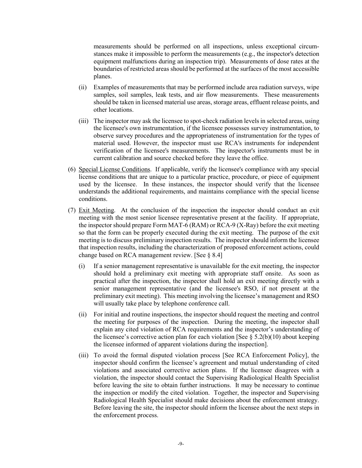measurements should be performed on all inspections, unless exceptional circumstances make it impossible to perform the measurements (e.g., the inspector's detection equipment malfunctions during an inspection trip). Measurements of dose rates at the boundaries of restricted areas should be performed at the surfaces of the most accessible planes.

- (ii) Examples of measurements that may be performed include area radiation surveys, wipe samples, soil samples, leak tests, and air flow measurements. These measurements should be taken in licensed material use areas, storage areas, effluent release points, and other locations.
- (iii) The inspector may ask the licensee to spot-check radiation levels in selected areas, using the licensee's own instrumentation, if the licensee possesses survey instrumentation, to observe survey procedures and the appropriateness of instrumentation for the types of material used. However, the inspector must use RCA's instruments for independent verification of the licensee's measurements. The inspector's instruments must be in current calibration and source checked before they leave the office.
- (6) Special License Conditions. If applicable, verify the licensee's compliance with any special license conditions that are unique to a particular practice, procedure, or piece of equipment used by the licensee. In these instances, the inspector should verify that the licensee understands the additional requirements, and maintains compliance with the special license conditions.
- (7) Exit Meeting. At the conclusion of the inspection the inspector should conduct an exit meeting with the most senior licensee representative present at the facility. If appropriate, the inspector should prepare Form MAT-6 (RAM) or RCA-9 (X-Ray) before the exit meeting so that the form can be properly executed during the exit meeting. The purpose of the exit meeting is to discuss preliminary inspection results. The inspector should inform the licensee that inspection results, including the characterization of proposed enforcement actions, could change based on RCA management review. [See § 8.4]
	- (i) If a senior management representative is unavailable for the exit meeting, the inspector should hold a preliminary exit meeting with appropriate staff onsite. As soon as practical after the inspection, the inspector shall hold an exit meeting directly with a senior management representative (and the licensee's RSO, if not present at the preliminary exit meeting). This meeting involving the licensee's management and RSO will usually take place by telephone conference call.
	- (ii) For initial and routine inspections, the inspector should request the meeting and control the meeting for purposes of the inspection. During the meeting, the inspector shall explain any cited violation of RCA requirements and the inspector's understanding of the licensee's corrective action plan for each violation [See  $\S 5.2(b)(10)$  about keeping the licensee informed of apparent violations during the inspection].
	- (iii) To avoid the formal disputed violation process [See RCA Enforcement Policy], the inspector should confirm the licensee's agreement and mutual understanding of cited violations and associated corrective action plans. If the licensee disagrees with a violation, the inspector should contact the Supervising Radiological Health Specialist before leaving the site to obtain further instructions. It may be necessary to continue the inspection or modify the cited violation. Together, the inspector and Supervising Radiological Health Specialist should make decisions about the enforcement strategy. Before leaving the site, the inspector should inform the licensee about the next steps in the enforcement process.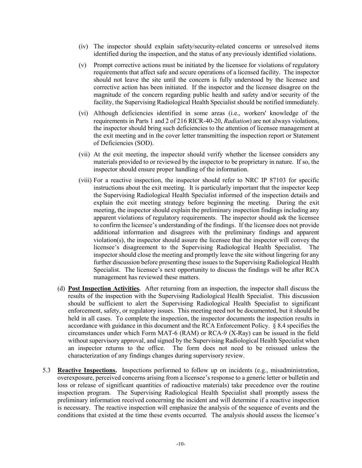- (iv) The inspector should explain safety/security-related concerns or unresolved items identified during the inspection, and the status of any previously identified violations.
- (v) Prompt corrective actions must be initiated by the licensee for violations of regulatory requirements that affect safe and secure operations of a licensed facility. The inspector should not leave the site until the concern is fully understood by the licensee and corrective action has been initiated. If the inspector and the licensee disagree on the magnitude of the concern regarding public health and safety and/or security of the facility, the Supervising Radiological Health Specialist should be notified immediately.
- (vi) Although deficiencies identified in some areas (i.e., workers' knowledge of the requirements in Parts 1 and 2 of 216 RICR-40-20, *Radiation*) are not always violations, the inspector should bring such deficiencies to the attention of licensee management at the exit meeting and in the cover letter transmitting the inspection report or Statement of Deficiencies (SOD).
- (vii) At the exit meeting, the inspector should verify whether the licensee considers any materials provided to or reviewed by the inspector to be proprietary in nature. If so, the inspector should ensure proper handling of the information.
- (viii) For a reactive inspection, the inspector should refer to NRC IP 87103 for specific instructions about the exit meeting. It is particularly important that the inspector keep the Supervising Radiological Health Specialist informed of the inspection details and explain the exit meeting strategy before beginning the meeting. During the exit meeting, the inspector should explain the preliminary inspection findings including any apparent violations of regulatory requirements. The inspector should ask the licensee to confirm the licensee's understanding of the findings. If the licensee does not provide additional information and disagrees with the preliminary findings and apparent violation(s), the inspector should assure the licensee that the inspector will convey the licensee's disagreement to the Supervising Radiological Health Specialist. The inspector should close the meeting and promptly leave the site without lingering for any further discussion before presenting these issues to the Supervising Radiological Health Specialist. The licensee's next opportunity to discuss the findings will be after RCA management has reviewed these matters.
- (d) **Post Inspection Activities.** After returning from an inspection, the inspector shall discuss the results of the inspection with the Supervising Radiological Health Specialist. This discussion should be sufficient to alert the Supervising Radiological Health Specialist to significant enforcement, safety, or regulatory issues. This meeting need not be documented, but it should be held in all cases. To complete the inspection, the inspector documents the inspection results in accordance with guidance in this document and the RCA Enforcement Policy. § 8.4 specifies the circumstances under which Form MAT-6 (RAM) or RCA-9 (X-Ray) can be issued in the field without supervisory approval, and signed by the Supervising Radiological Health Specialist when an inspector returns to the office. The form does not need to be reissued unless the characterization of any findings changes during supervisory review.
- 5.3 **Reactive Inspections.** Inspections performed to follow up on incidents (e.g., misadministration, overexposure, perceived concerns arising from a licensee's response to a generic letter or bulletin and loss or release of significant quantities of radioactive materials) take precedence over the routine inspection program. The Supervising Radiological Health Specialist shall promptly assess the preliminary information received concerning the incident and will determine if a reactive inspection is necessary. The reactive inspection will emphasize the analysis of the sequence of events and the conditions that existed at the time these events occurred. The analysis should assess the licensee's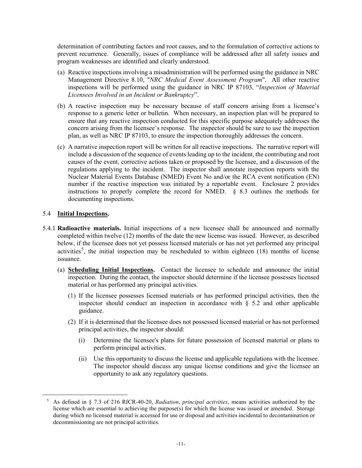determination of contributing factors and root causes, and to the formulation of corrective actions to prevent recurrence. Generally, issues of compliance will be addressed after all safety issues and program weaknesses are identified and clearly understood.

- (a) Reactive inspections involving a misadministration will be performed using the guidance in NRC Management Directive 8.10, "*NRC Medical Event Assessment Program*". All other reactive inspections will be performed using the guidance in NRC IP 87103, "*Inspection of Material Licensees Involved in an Incident or Bankruptcy*".
- (b) A reactive inspection may be necessary because of staff concern arising from a licensee's response to a generic letter or bulletin. When necessary, an inspection plan will be prepared to ensure that any reactive inspection conducted for this specific purpose adequately addresses the concern arising from the licensee's response. The inspector should be sure to use the inspection plan, as well as NRC IP 87103, to ensure the inspection thoroughly addresses the concern.
- (c) A narrative inspection report will be written for all reactive inspections. The narrative report will include a discussion of the sequence of events leading up to the incident, the contributing and root causes of the event, corrective actions taken or proposed by the licensee, and a discussion of the regulations applying to the incident. The inspector shall annotate inspection reports with the Nuclear Material Events Database (NMED) Event No and/or the RCA event notification (EN) number if the reactive inspection was initiated by a reportable event. Enclosure 2 provides instructions to properly complete the record for NMED.  $\&$  8.3 outlines the methods for documenting inspections.

#### 5.4 **Initial Inspections.**

- 5.4.1 **Radioactive materials.** Initial inspections of a new licensee shall be announced and normally completed within twelve (12) months of the date the new license was issued. However, as described below, if the licensee does not yet possess licensed materials or has not yet performed any principal activities<sup>[5](#page-13-0)</sup>, the initial inspection may be rescheduled to within eighteen (18) months of license issuance.
	- (a) **Scheduling Initial Inspections.** Contact the licensee to schedule and announce the initial inspection. During the contact, the inspector should determine if the licensee possesses licensed material or has performed any principal activities.
		- (1) If the licensee possesses licensed materials or has performed principal activities, then the inspector should conduct an inspection in accordance with  $\S$  5.2 and other applicable guidance.
		- (2) If it is determined that the licensee does not possessed licensed material or has not performed principal activities, the inspector should:
			- (i) Determine the licensee's plans for future possession of licensed material or plans to perform principal activities.
			- (ii) Use this opportunity to discuss the license and applicable regulations with the licensee. The inspector should discuss any unique license conditions and give the licensee an opportunity to ask any regulatory questions.

<span id="page-13-0"></span><sup>5</sup> As defined in § 7.3 of 216 RICR-40-20, *Radiation*, *principal activities*, means activities authorized by the license which are essential to achieving the purpose(s) for which the license was issued or amended. Storage during which no licensed material is accessed for use or disposal and activities incidental to decontamination or decommissioning are not principal activities.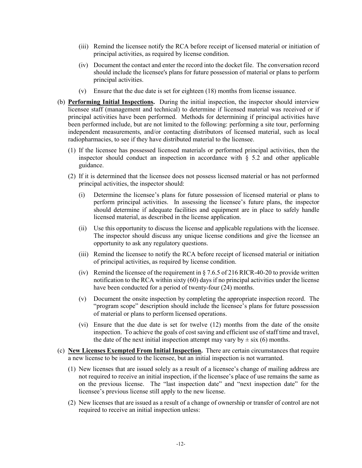- (iii) Remind the licensee notify the RCA before receipt of licensed material or initiation of principal activities, as required by license condition.
- (iv) Document the contact and enter the record into the docket file. The conversation record should include the licensee's plans for future possession of material or plans to perform principal activities.
- (v) Ensure that the due date is set for eighteen (18) months from license issuance.
- (b) **Performing Initial Inspections.** During the initial inspection, the inspector should interview licensee staff (management and technical) to determine if licensed material was received or if principal activities have been performed. Methods for determining if principal activities have been performed include, but are not limited to the following: performing a site tour, performing independent measurements, and/or contacting distributors of licensed material, such as local radiopharmacies, to see if they have distributed material to the licensee.
	- (1) If the licensee has possessed licensed materials or performed principal activities, then the inspector should conduct an inspection in accordance with  $\S$  5.2 and other applicable guidance.
	- (2) If it is determined that the licensee does not possess licensed material or has not performed principal activities, the inspector should:
		- (i) Determine the licensee's plans for future possession of licensed material or plans to perform principal activities. In assessing the licensee's future plans, the inspector should determine if adequate facilities and equipment are in place to safely handle licensed material, as described in the license application.
		- (ii) Use this opportunity to discuss the license and applicable regulations with the licensee. The inspector should discuss any unique license conditions and give the licensee an opportunity to ask any regulatory questions.
		- (iii) Remind the licensee to notify the RCA before receipt of licensed material or initiation of principal activities, as required by license condition.
		- (iv) Remind the licensee of the requirement in  $\S 7.6.5$  of 216 RICR-40-20 to provide written notification to the RCA within sixty (60) days if no principal activities under the license have been conducted for a period of twenty-four (24) months.
		- (v) Document the onsite inspection by completing the appropriate inspection record. The "program scope" description should include the licensee's plans for future possession of material or plans to perform licensed operations.
		- (vi) Ensure that the due date is set for twelve (12) months from the date of the onsite inspection. To achieve the goals of cost saving and efficient use of staff time and travel, the date of the next initial inspection attempt may vary by  $\pm$  six (6) months.
- (c) **New Licenses Exempted From Initial Inspection.** There are certain circumstances that require a new license to be issued to the licensee, but an initial inspection is not warranted.
	- (1) New licenses that are issued solely as a result of a licensee's change of mailing address are not required to receive an initial inspection, if the licensee's place of use remains the same as on the previous license. The "last inspection date" and "next inspection date" for the licensee's previous license still apply to the new license.
	- (2) New licenses that are issued as a result of a change of ownership or transfer of control are not required to receive an initial inspection unless: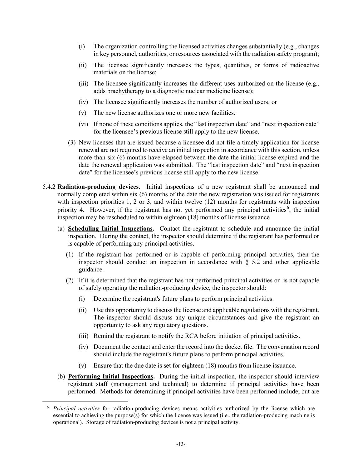- (i) The organization controlling the licensed activities changes substantially (e.g., changes in key personnel, authorities, or resources associated with the radiation safety program);
- (ii) The licensee significantly increases the types, quantities, or forms of radioactive materials on the license;
- (iii) The licensee significantly increases the different uses authorized on the license (e.g., adds brachytherapy to a diagnostic nuclear medicine license);
- (iv) The licensee significantly increases the number of authorized users; or
- (v) The new license authorizes one or more new facilities.
- (vi) If none of these conditions applies, the "last inspection date" and "next inspection date" for the licensee's previous license still apply to the new license.
- (3) New licenses that are issued because a licensee did not file a timely application for license renewal are not required to receive an initial inspection in accordance with this section, unless more than six (6) months have elapsed between the date the initial license expired and the date the renewal application was submitted. The "last inspection date" and "next inspection date" for the licensee's previous license still apply to the new license.
- 5.4.2 **Radiation-producing devices**. Initial inspections of a new registrant shall be announced and normally completed within six (6) months of the date the new registration was issued for registrants with inspection priorities 1, 2 or 3, and within twelve (12) months for registrants with inspection priority 4. However, if the registrant has not yet performed any principal activities<sup>[6](#page-15-0)</sup>, the initial inspection may be rescheduled to within eighteen (18) months of license issuance
	- (a) **Scheduling Initial Inspections.** Contact the registrant to schedule and announce the initial inspection. During the contact, the inspector should determine if the registrant has performed or is capable of performing any principal activities.
		- (1) If the registrant has performed or is capable of performing principal activities, then the inspector should conduct an inspection in accordance with  $\S$  5.2 and other applicable guidance.
		- (2) If it is determined that the registrant has not performed principal activities or is not capable of safely operating the radiation-producing device, the inspector should:
			- (i) Determine the registrant's future plans to perform principal activities.
			- (ii) Use this opportunity to discuss the license and applicable regulations with the registrant. The inspector should discuss any unique circumstances and give the registrant an opportunity to ask any regulatory questions.
			- (iii) Remind the registrant to notify the RCA before initiation of principal activities.
			- (iv) Document the contact and enter the record into the docket file. The conversation record should include the registrant's future plans to perform principal activities.
			- (v) Ensure that the due date is set for eighteen (18) months from license issuance.
	- (b) **Performing Initial Inspections.** During the initial inspection, the inspector should interview registrant staff (management and technical) to determine if principal activities have been performed. Methods for determining if principal activities have been performed include, but are

<span id="page-15-0"></span><sup>6</sup> *Principal activities* for radiation-producing devices means activities authorized by the license which are essential to achieving the purpose(s) for which the license was issued (i.e., the radiation-producing machine is operational). Storage of radiation-producing devices is not a principal activity.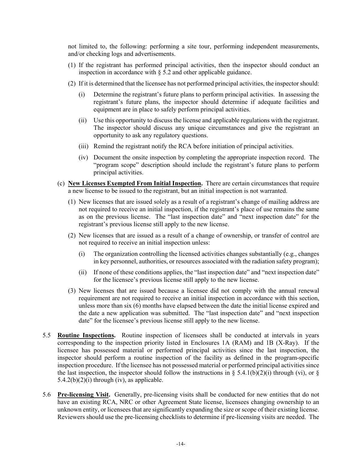not limited to, the following: performing a site tour, performing independent measurements, and/or checking logs and advertisements.

- (1) If the registrant has performed principal activities, then the inspector should conduct an inspection in accordance with  $\S$  5.2 and other applicable guidance.
- (2) If it is determined that the licensee has not performed principal activities, the inspector should:
	- (i) Determine the registrant's future plans to perform principal activities. In assessing the registrant's future plans, the inspector should determine if adequate facilities and equipment are in place to safely perform principal activities.
	- (ii) Use this opportunity to discuss the license and applicable regulations with the registrant. The inspector should discuss any unique circumstances and give the registrant an opportunity to ask any regulatory questions.
	- (iii) Remind the registrant notify the RCA before initiation of principal activities.
	- (iv) Document the onsite inspection by completing the appropriate inspection record. The "program scope" description should include the registrant's future plans to perform principal activities.
- (c) **New Licenses Exempted From Initial Inspection.** There are certain circumstances that require a new license to be issued to the registrant, but an initial inspection is not warranted.
	- (1) New licenses that are issued solely as a result of a registrant's change of mailing address are not required to receive an initial inspection, if the registrant's place of use remains the same as on the previous license. The "last inspection date" and "next inspection date" for the registrant's previous license still apply to the new license.
	- (2) New licenses that are issued as a result of a change of ownership, or transfer of control are not required to receive an initial inspection unless:
		- (i) The organization controlling the licensed activities changes substantially (e.g., changes in key personnel, authorities, or resources associated with the radiation safety program);
		- (ii) If none of these conditions applies, the "last inspection date" and "next inspection date" for the licensee's previous license still apply to the new license.
	- (3) New licenses that are issued because a licensee did not comply with the annual renewal requirement are not required to receive an initial inspection in accordance with this section, unless more than six (6) months have elapsed between the date the initial license expired and the date a new application was submitted. The "last inspection date" and "next inspection date" for the licensee's previous license still apply to the new license.
- 5.5 **Routine Inspections.** Routine inspection of licensees shall be conducted at intervals in years corresponding to the inspection priority listed in Enclosures 1A (RAM) and 1B (X-Ray). If the licensee has possessed material or performed principal activities since the last inspection, the inspector should perform a routine inspection of the facility as defined in the program-specific inspection procedure. If the licensee has not possessed material or performed principal activities since the last inspection, the inspector should follow the instructions in § 5.4.1(b)(2)(i) through (vi), or §  $5.4.2(b)(2)(i)$  through (iv), as applicable.
- 5.6 **Pre-licensing Visit.** Generally, pre-licensing visits shall be conducted for new entities that do not have an existing RCA, NRC or other Agreement State license, licensees changing ownership to an unknown entity, or licensees that are significantly expanding the size or scope of their existing license. Reviewers should use the pre-licensing checklists to determine if pre-licensing visits are needed. The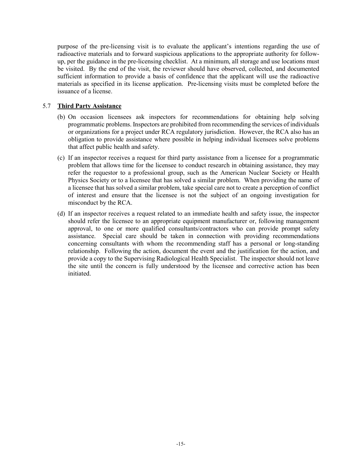purpose of the pre-licensing visit is to evaluate the applicant's intentions regarding the use of radioactive materials and to forward suspicious applications to the appropriate authority for followup, per the guidance in the pre-licensing checklist. At a minimum, all storage and use locations must be visited. By the end of the visit, the reviewer should have observed, collected, and documented sufficient information to provide a basis of confidence that the applicant will use the radioactive materials as specified in its license application. Pre-licensing visits must be completed before the issuance of a license.

#### 5.7 **Third Party Assistance**

- (b) On occasion licensees ask inspectors for recommendations for obtaining help solving programmatic problems. Inspectors are prohibited from recommending the services of individuals or organizations for a project under RCA regulatory jurisdiction. However, the RCA also has an obligation to provide assistance where possible in helping individual licensees solve problems that affect public health and safety.
- (c) If an inspector receives a request for third party assistance from a licensee for a programmatic problem that allows time for the licensee to conduct research in obtaining assistance, they may refer the requestor to a professional group, such as the American Nuclear Society or Health Physics Society or to a licensee that has solved a similar problem. When providing the name of a licensee that has solved a similar problem, take special care not to create a perception of conflict of interest and ensure that the licensee is not the subject of an ongoing investigation for misconduct by the RCA.
- (d) If an inspector receives a request related to an immediate health and safety issue, the inspector should refer the licensee to an appropriate equipment manufacturer or, following management approval, to one or more qualified consultants/contractors who can provide prompt safety assistance. Special care should be taken in connection with providing recommendations concerning consultants with whom the recommending staff has a personal or long-standing relationship. Following the action, document the event and the justification for the action, and provide a copy to the Supervising Radiological Health Specialist. The inspector should not leave the site until the concern is fully understood by the licensee and corrective action has been initiated.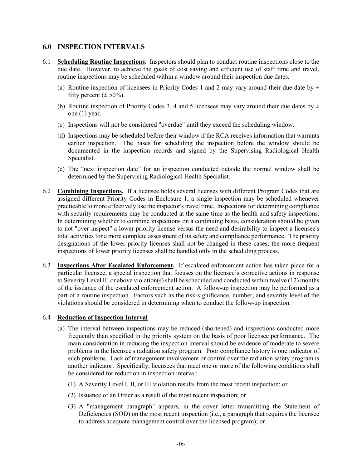#### **6.0 INSPECTION INTERVALS**

- 6.1 **Scheduling Routine Inspections.** Inspectors should plan to conduct routine inspections close to the due date. However, to achieve the goals of cost saving and efficient use of staff time and travel, routine inspections may be scheduled within a window around their inspection due dates.
	- (a) Routine inspection of licensees in Priority Codes 1 and 2 may vary around their due date by  $\pm$ fifty percent ( $\pm$  50%).
	- (b) Routine inspection of Priority Codes 3, 4 and 5 licensees may vary around their due dates by  $\pm$ one (1) year.
	- (c) Inspections will not be considered "overdue" until they exceed the scheduling window.
	- (d) Inspections may be scheduled before their window if the RCA receives information that warrants earlier inspection. The bases for scheduling the inspection before the window should be documented in the inspection records and signed by the Supervising Radiological Health Specialist.
	- (e) The "next inspection date" for an inspection conducted outside the normal window shall be determined by the Supervising Radiological Health Specialist.
- 6.2 **Combining Inspections.** If a licensee holds several licenses with different Program Codes that are assigned different Priority Codes in Enclosure 1, a single inspection may be scheduled whenever practicable to more effectively use the inspector's travel time. Inspections for determining compliance with security requirements may be conducted at the same time as the health and safety inspections. In determining whether to combine inspections on a continuing basis, consideration should be given to not "over-inspect" a lower priority license versus the need and desirability to inspect a licensee's total activities for a more complete assessment of its safety and compliance performance. The priority designations of the lower priority licenses shall not be changed in these cases; the more frequent inspections of lower priority licenses shall be handled only in the scheduling process.
- 6.3 **Inspections After Escalated Enforcement.** If escalated enforcement action has taken place for a particular licensee, a special inspection that focuses on the licensee's corrective actions in response to Severity Level III or above violation(s) shall be scheduled and conducted within twelve (12) months of the issuance of the escalated enforcement action. A follow-up inspection may be performed as a part of a routine inspection. Factors such as the risk-significance, number, and severity level of the violations should be considered in determining when to conduct the follow-up inspection.

#### 6.4 **Reduction of Inspection Interval**

- (a) The interval between inspections may be reduced (shortened) and inspections conducted more frequently than specified in the priority system on the basis of poor licensee performance. The main consideration in reducing the inspection interval should be evidence of moderate to severe problems in the licensee's radiation safety program. Poor compliance history is one indicator of such problems. Lack of management involvement or control over the radiation safety program is another indicator. Specifically, licensees that meet one or more of the following conditions shall be considered for reduction in inspection interval:
	- (1) A Severity Level I, II, or III violation results from the most recent inspection; or
	- (2) Issuance of an Order as a result of the most recent inspection; or
	- (3) A "management paragraph" appears, in the cover letter transmitting the Statement of Deficiencies (SOD) on the most recent inspection (i.e., a paragraph that requires the licensee to address adequate management control over the licensed program); or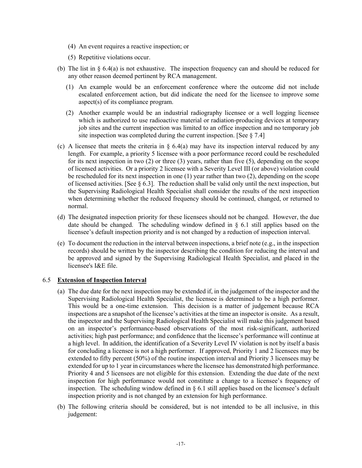- (4) An event requires a reactive inspection; or
- (5) Repetitive violations occur.
- (b) The list in  $\S$  6.4(a) is not exhaustive. The inspection frequency can and should be reduced for any other reason deemed pertinent by RCA management.
	- (1) An example would be an enforcement conference where the outcome did not include escalated enforcement action, but did indicate the need for the licensee to improve some aspect(s) of its compliance program.
	- (2) Another example would be an industrial radiography licensee or a well logging licensee which is authorized to use radioactive material or radiation-producing devices at temporary job sites and the current inspection was limited to an office inspection and no temporary job site inspection was completed during the current inspection. [See  $\S 7.4$ ]
- (c) A licensee that meets the criteria in  $\S 6.4(a)$  may have its inspection interval reduced by any length. For example, a priority 5 licensee with a poor performance record could be rescheduled for its next inspection in two (2) or three (3) years, rather than five (5), depending on the scope of licensed activities. Or a priority 2 licensee with a Severity Level III (or above) violation could be rescheduled for its next inspection in one (1) year rather than two (2), depending on the scope of licensed activities. [See  $\S 6.3$ ]. The reduction shall be valid only until the next inspection, but the Supervising Radiological Health Specialist shall consider the results of the next inspection when determining whether the reduced frequency should be continued, changed, or returned to normal.
- (d) The designated inspection priority for these licensees should not be changed. However, the due date should be changed. The scheduling window defined in  $\S$  6.1 still applies based on the licensee's default inspection priority and is not changed by a reduction of inspection interval.
- (e) To document the reduction in the interval between inspections, a brief note (e.g., in the inspection records) should be written by the inspector describing the condition for reducing the interval and be approved and signed by the Supervising Radiological Health Specialist, and placed in the licensee's I&E file.

#### 6.5 **Extension of Inspection Interval**

- (a) The due date for the next inspection may be extended if, in the judgement of the inspector and the Supervising Radiological Health Specialist, the licensee is determined to be a high performer. This would be a one-time extension. This decision is a matter of judgement because RCA inspections are a snapshot of the licensee's activities at the time an inspector is onsite. As a result, the inspector and the Supervising Radiological Health Specialist will make this judgement based on an inspector's performance-based observations of the most risk-significant, authorized activities; high past performance; and confidence that the licensee's performance will continue at a high level. In addition, the identification of a Severity Level IV violation is not by itself a basis for concluding a licensee is not a high performer. If approved, Priority 1 and 2 licensees may be extended to fifty percent (50%) of the routine inspection interval and Priority 3 licensees may be extended for up to 1 year in circumstances where the licensee has demonstrated high performance. Priority 4 and 5 licensees are not eligible for this extension. Extending the due date of the next inspection for high performance would not constitute a change to a licensee's frequency of inspection. The scheduling window defined in  $\S 6.1$  still applies based on the licensee's default inspection priority and is not changed by an extension for high performance.
- (b) The following criteria should be considered, but is not intended to be all inclusive, in this judgement: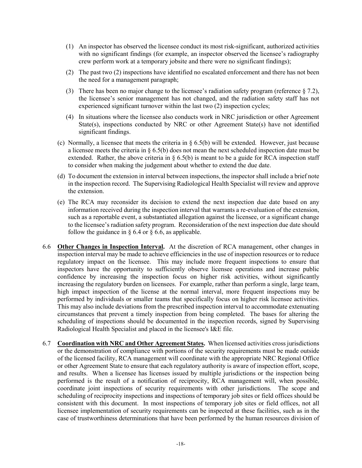- (1) An inspector has observed the licensee conduct its most risk-significant, authorized activities with no significant findings (for example, an inspector observed the licensee's radiography crew perform work at a temporary jobsite and there were no significant findings);
- (2) The past two (2) inspections have identified no escalated enforcement and there has not been the need for a management paragraph;
- (3) There has been no major change to the licensee's radiation safety program (reference § 7.2), the licensee's senior management has not changed, and the radiation safety staff has not experienced significant turnover within the last two (2) inspection cycles;
- (4) In situations where the licensee also conducts work in NRC jurisdiction or other Agreement State(s), inspections conducted by NRC or other Agreement State(s) have not identified significant findings.
- (c) Normally, a licensee that meets the criteria in § 6.5(b) will be extended. However, just because a licensee meets the criteria in  $\S 6.5(b)$  does not mean the next scheduled inspection date must be extended. Rather, the above criteria in § 6.5(b) is meant to be a guide for RCA inspection staff to consider when making the judgement about whether to extend the due date.
- (d) To document the extension in interval between inspections, the inspector shall include a brief note in the inspection record. The Supervising Radiological Health Specialist will review and approve the extension.
- (e) The RCA may reconsider its decision to extend the next inspection due date based on any information received during the inspection interval that warrants a re-evaluation of the extension, such as a reportable event, a substantiated allegation against the licensee, or a significant change to the licensee's radiation safety program. Reconsideration of the next inspection due date should follow the guidance in  $\S 6.4$  or  $\S 6.6$ , as applicable.
- 6.6 **Other Changes in Inspection Interval.** At the discretion of RCA management, other changes in inspection interval may be made to achieve efficiencies in the use of inspection resources or to reduce regulatory impact on the licensee. This may include more frequent inspections to ensure that inspectors have the opportunity to sufficiently observe licensee operations and increase public confidence by increasing the inspection focus on higher risk activities, without significantly increasing the regulatory burden on licensees. For example, rather than perform a single, large team, high impact inspection of the license at the normal interval, more frequent inspections may be performed by individuals or smaller teams that specifically focus on higher risk licensee activities. This may also include deviations from the prescribed inspection interval to accommodate extenuating circumstances that prevent a timely inspection from being completed. The bases for altering the scheduling of inspections should be documented in the inspection records, signed by Supervising Radiological Health Specialist and placed in the licensee's I&E file.
- 6.7 **Coordination with NRC and Other Agreement States.** When licensed activities cross jurisdictions or the demonstration of compliance with portions of the security requirements must be made outside of the licensed facility, RCA management will coordinate with the appropriate NRC Regional Office or other Agreement State to ensure that each regulatory authority is aware of inspection effort, scope, and results. When a licensee has licenses issued by multiple jurisdictions or the inspection being performed is the result of a notification of reciprocity, RCA management will, when possible, coordinate joint inspections of security requirements with other jurisdictions. The scope and scheduling of reciprocity inspections and inspections of temporary job sites or field offices should be consistent with this document. In most inspections of temporary job sites or field offices, not all licensee implementation of security requirements can be inspected at these facilities, such as in the case of trustworthiness determinations that have been performed by the human resources division of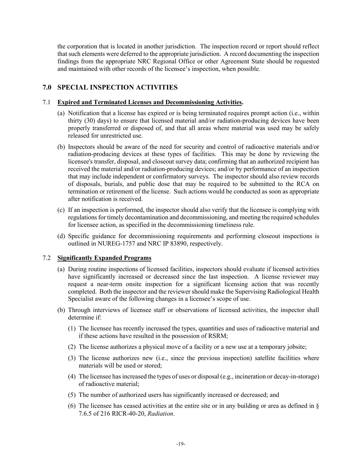the corporation that is located in another jurisdiction. The inspection record or report should reflect that such elements were deferred to the appropriate jurisdiction. A record documenting the inspection findings from the appropriate NRC Regional Office or other Agreement State should be requested and maintained with other records of the licensee's inspection, when possible.

# **7.0 SPECIAL INSPECTION ACTIVITIES**

#### 7.1 **Expired and Terminated Licenses and Decommissioning Activities.**

- (a) Notification that a license has expired or is being terminated requires prompt action (i.e., within thirty (30) days) to ensure that licensed material and/or radiation-producing devices have been properly transferred or disposed of, and that all areas where material was used may be safely released for unrestricted use.
- (b) Inspectors should be aware of the need for security and control of radioactive materials and/or radiation-producing devices at these types of facilities. This may be done by reviewing the licensee's transfer, disposal, and closeout survey data; confirming that an authorized recipient has received the material and/or radiation-producing devices; and/or by performance of an inspection that may include independent or confirmatory surveys. The inspector should also review records of disposals, burials, and public dose that may be required to be submitted to the RCA on termination or retirement of the license. Such actions would be conducted as soon as appropriate after notification is received.
- (c) If an inspection is performed, the inspector should also verify that the licensee is complying with regulations for timely decontamination and decommissioning, and meeting the required schedules for licensee action, as specified in the decommissioning timeliness rule.
- (d) Specific guidance for decommissioning requirements and performing closeout inspections is outlined in NUREG-1757 and NRC IP 83890, respectively.

#### 7.2 **Significantly Expanded Programs**

- (a) During routine inspections of licensed facilities, inspectors should evaluate if licensed activities have significantly increased or decreased since the last inspection. A license reviewer may request a near-term onsite inspection for a significant licensing action that was recently completed. Both the inspector and the reviewer should make the Supervising Radiological Health Specialist aware of the following changes in a licensee's scope of use.
- (b) Through interviews of licensee staff or observations of licensed activities, the inspector shall determine if:
	- (1) The licensee has recently increased the types, quantities and uses of radioactive material and if these actions have resulted in the possession of RSRM;
	- (2) The license authorizes a physical move of a facility or a new use at a temporary jobsite;
	- (3) The license authorizes new (i.e., since the previous inspection) satellite facilities where materials will be used or stored;
	- (4) The licensee has increased the types of uses or disposal (e.g., incineration or decay-in-storage) of radioactive material;
	- (5) The number of authorized users has significantly increased or decreased; and
	- (6) The licensee has ceased activities at the entire site or in any building or area as defined in § 7.6.5 of 216 RICR-40-20, *Radiation*.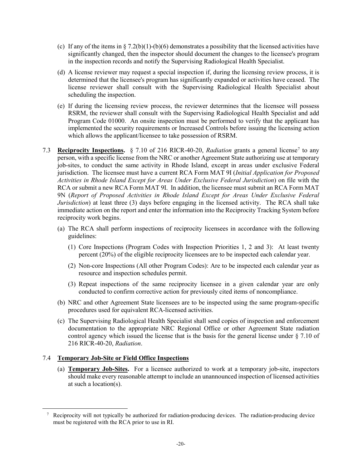- (c) If any of the items in  $\S 7.2(b)(1)-(b)(6)$  demonstrates a possibility that the licensed activities have significantly changed, then the inspector should document the changes to the licensee's program in the inspection records and notify the Supervising Radiological Health Specialist.
- (d) A license reviewer may request a special inspection if, during the licensing review process, it is determined that the licensee's program has significantly expanded or activities have ceased. The license reviewer shall consult with the Supervising Radiological Health Specialist about scheduling the inspection.
- (e) If during the licensing review process, the reviewer determines that the licensee will possess RSRM, the reviewer shall consult with the Supervising Radiological Health Specialist and add Program Code 01000. An onsite inspection must be performed to verify that the applicant has implemented the security requirements or Increased Controls before issuing the licensing action which allows the applicant/licensee to take possession of RSRM.
- [7](#page-22-0).3 **Reciprocity Inspections.** § 7.10 of 216 RICR-40-20, *Radiation* grants a general license<sup>7</sup> to any person, with a specific license from the NRC or another Agreement State authorizing use at temporary job-sites, to conduct the same activity in Rhode Island, except in areas under exclusive Federal jurisdiction. The licensee must have a current RCA Form MAT 9I (*Initial Application for Proposed Activities in Rhode Island Except for Areas Under Exclusive Federal Jurisdiction*) on file with the RCA or submit a new RCA Form MAT 9I. In addition, the licensee must submit an RCA Form MAT 9N (*Report of Proposed Activities in Rhode Island Except for Areas Under Exclusive Federal Jurisdiction*) at least three (3) days before engaging in the licensed activity. The RCA shall take immediate action on the report and enter the information into the Reciprocity Tracking System before reciprocity work begins.
	- (a) The RCA shall perform inspections of reciprocity licensees in accordance with the following guidelines:
		- (1) Core Inspections (Program Codes with Inspection Priorities 1, 2 and 3): At least twenty percent (20%) of the eligible reciprocity licensees are to be inspected each calendar year.
		- (2) Non-core Inspections (All other Program Codes): Are to be inspected each calendar year as resource and inspection schedules permit.
		- (3) Repeat inspections of the same reciprocity licensee in a given calendar year are only conducted to confirm corrective action for previously cited items of noncompliance.
	- (b) NRC and other Agreement State licensees are to be inspected using the same program-specific procedures used for equivalent RCA-licensed activities.
	- (c) The Supervising Radiological Health Specialist shall send copies of inspection and enforcement documentation to the appropriate NRC Regional Office or other Agreement State radiation control agency which issued the license that is the basis for the general license under § 7.10 of 216 RICR-40-20, *Radiation*.

#### 7.4 **Temporary Job-Site or Field Office Inspections**

<span id="page-22-0"></span>l,

(a) **Temporary Job-Sites.** For a licensee authorized to work at a temporary job-site, inspectors should make every reasonable attempt to include an unannounced inspection of licensed activities at such a location(s).

<sup>7</sup> Reciprocity will not typically be authorized for radiation-producing devices. The radiation-producing device must be registered with the RCA prior to use in RI.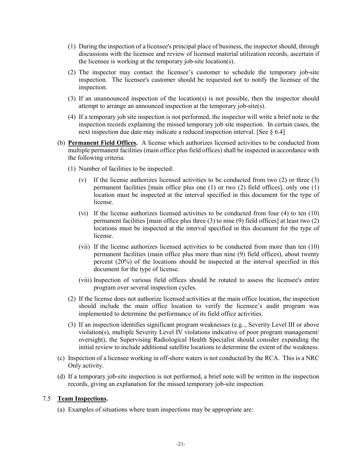- (1) During the inspection of a licensee's principal place of business, the inspector should, through discussions with the licensee and review of licensed material utilization records, ascertain if the licensee is working at the temporary job-site location(s).
- (2) The inspector may contact the licensee's customer to schedule the temporary job-site inspection. The licensee's customer should be requested not to notify the licensee of the inspection.
- (3) If an unannounced inspection of the location(s) is not possible, then the inspector should attempt to arrange an announced inspection at the temporary job-site(s).
- (4) If a temporary job site inspection is not performed, the inspector will write a brief note in the inspection records explaining the missed temporary job site inspection. In certain cases, the next inspection due date may indicate a reduced inspection interval. [See § 6.4]
- (b) **Permanent Field Offices.** A license which authorizes licensed activities to be conducted from multiple permanent facilities (main office plus field offices) shall be inspected in accordance with the following criteria:
	- (1) Number of facilities to be inspected:
		- (v) If the license authorizes licensed activities to be conducted from two (2) or three (3) permanent facilities [main office plus one (1) or two (2) field offices], only one (1) location must be inspected at the interval specified in this document for the type of license.
		- (vi) If the license authorizes licensed activities to be conducted from four (4) to ten (10) permanent facilities [main office plus three (3) to nine (9) field offices] at least two (2) locations must be inspected at the interval specified in this document for the type of license.
		- (vii) If the license authorizes licensed activities to be conducted from more than ten (10) permanent facilities (main office plus more than nine (9) field offices), about twenty percent (20%) of the locations should be inspected at the interval specified in this document for the type of license.
		- (viii) Inspection of various field offices should be rotated to assess the licensee's entire program over several inspection cycles.
	- (2) If the license does not authorize licensed activities at the main office location, the inspection should include the main office location to verify the licensee's audit program was implemented to determine the performance of its field office activities.
	- (3) If an inspection identifies significant program weaknesses (e.g.., Severity Level III or above violation(s), multiple Severity Level IV violations indicative of poor program management/ oversight), the Supervising Radiological Health Specialist should consider expanding the initial review to include additional satellite locations to determine the extent of the weakness.
- (c) Inspection of a licensee working in off-shore waters is not conducted by the RCA. This is a NRC Only activity.
- (d) If a temporary job-site inspection is not performed, a brief note will be written in the inspection records, giving an explanation for the missed temporary job-site inspection.

#### 7.5 **Team Inspections.**

(a) Examples of situations where team inspections may be appropriate are: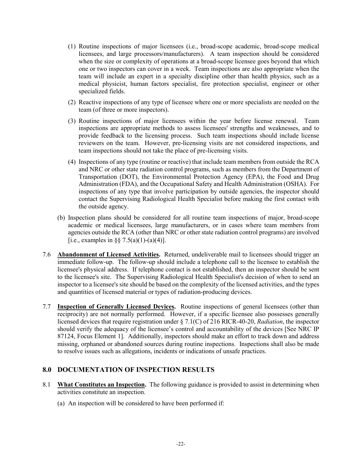- (1) Routine inspections of major licensees (i.e., broad-scope academic, broad-scope medical licensees, and large processors/manufacturers). A team inspection should be considered when the size or complexity of operations at a broad-scope licensee goes beyond that which one or two inspectors can cover in a week. Team inspections are also appropriate when the team will include an expert in a specialty discipline other than health physics, such as a medical physicist, human factors specialist, fire protection specialist, engineer or other specialized fields.
- (2) Reactive inspections of any type of licensee where one or more specialists are needed on the team (of three or more inspectors).
- (3) Routine inspections of major licensees within the year before license renewal. Team inspections are appropriate methods to assess licensees' strengths and weaknesses, and to provide feedback to the licensing process. Such team inspections should include license reviewers on the team. However, pre-licensing visits are not considered inspections, and team inspections should not take the place of pre-licensing visits.
- (4) Inspections of any type (routine or reactive) that include team members from outside the RCA and NRC or other state radiation control programs, such as members from the Department of Transportation (DOT), the Environmental Protection Agency (EPA), the Food and Drug Administration (FDA), and the Occupational Safety and Health Administration (OSHA). For inspections of any type that involve participation by outside agencies, the inspector should contact the Supervising Radiological Health Specialist before making the first contact with the outside agency.
- (b) Inspection plans should be considered for all routine team inspections of major, broad-scope academic or medical licensees, large manufacturers, or in cases where team members from agencies outside the RCA (other than NRC or other state radiation control programs) are involved [i.e., examples in §§ 7.5(a)(1)-(a)(4)].
- 7.6 **Abandonment of Licensed Activities.** Returned, undeliverable mail to licensees should trigger an immediate follow-up. The follow-up should include a telephone call to the licensee to establish the licensee's physical address. If telephone contact is not established, then an inspector should be sent to the licensee's site. The Supervising Radiological Health Specialist's decision of when to send an inspector to a licensee's site should be based on the complexity of the licensed activities, and the types and quantities of licensed material or types of radiation-producing devices.
- 7.7 **Inspection of Generally Licensed Devices.** Routine inspections of general licensees (other than reciprocity) are not normally performed. However, if a specific licensee also possesses generally licensed devices that require registration under § 7.1(C) of 216 RICR-40-20, *Radiation*, the inspector should verify the adequacy of the licensee's control and accountability of the devices [See NRC IP 87124, Focus Element 1]. Additionally, inspectors should make an effort to track down and address missing, orphaned or abandoned sources during routine inspections. Inspections shall also be made to resolve issues such as allegations, incidents or indications of unsafe practices.

## **8.0 DOCUMENTATION OF INSPECTION RESULTS**

- 8.1 **What Constitutes an Inspection.** The following guidance is provided to assist in determining when activities constitute an inspection.
	- (a) An inspection will be considered to have been performed if: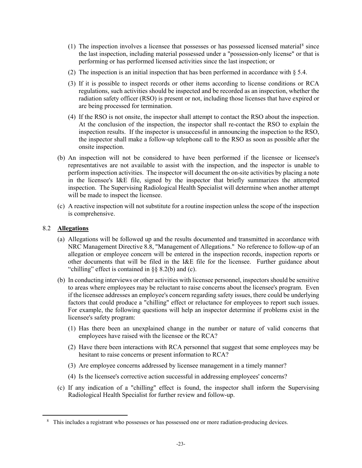- (1) The inspection involves a licensee that possesses or has possessed licensed material<sup>[8](#page-25-0)</sup> since the last inspection, including material possessed under a "possession-only license" or that is performing or has performed licensed activities since the last inspection; or
- (2) The inspection is an initial inspection that has been performed in accordance with  $\S 5.4$ .
- (3) If it is possible to inspect records or other items according to license conditions or RCA regulations, such activities should be inspected and be recorded as an inspection, whether the radiation safety officer (RSO) is present or not, including those licenses that have expired or are being processed for termination.
- (4) If the RSO is not onsite, the inspector shall attempt to contact the RSO about the inspection. At the conclusion of the inspection, the inspector shall re-contact the RSO to explain the inspection results. If the inspector is unsuccessful in announcing the inspection to the RSO, the inspector shall make a follow-up telephone call to the RSO as soon as possible after the onsite inspection.
- (b) An inspection will not be considered to have been performed if the licensee or licensee's representatives are not available to assist with the inspection, and the inspector is unable to perform inspection activities. The inspector will document the on-site activities by placing a note in the licensee's I&E file, signed by the inspector that briefly summarizes the attempted inspection. The Supervising Radiological Health Specialist will determine when another attempt will be made to inspect the licensee.
- (c) A reactive inspection will not substitute for a routine inspection unless the scope of the inspection is comprehensive.

#### 8.2 **Allegations**

- (a) Allegations will be followed up and the results documented and transmitted in accordance with NRC Management Directive 8.8, "Management of Allegations." No reference to follow-up of an allegation or employee concern will be entered in the inspection records, inspection reports or other documents that will be filed in the I&E file for the licensee. Further guidance about "chilling" effect is contained in §§ 8.2(b) and (c).
- (b) In conducting interviews or other activities with licensee personnel, inspectors should be sensitive to areas where employees may be reluctant to raise concerns about the licensee's program. Even if the licensee addresses an employee's concern regarding safety issues, there could be underlying factors that could produce a "chilling" effect or reluctance for employees to report such issues. For example, the following questions will help an inspector determine if problems exist in the licensee's safety program:
	- (1) Has there been an unexplained change in the number or nature of valid concerns that employees have raised with the licensee or the RCA?
	- (2) Have there been interactions with RCA personnel that suggest that some employees may be hesitant to raise concerns or present information to RCA?
	- (3) Are employee concerns addressed by licensee management in a timely manner?
	- (4) Is the licensee's corrective action successful in addressing employees' concerns?
- (c) If any indication of a "chilling" effect is found, the inspector shall inform the Supervising Radiological Health Specialist for further review and follow-up.

<span id="page-25-0"></span><sup>&</sup>lt;sup>8</sup> This includes a registrant who possesses or has possessed one or more radiation-producing devices.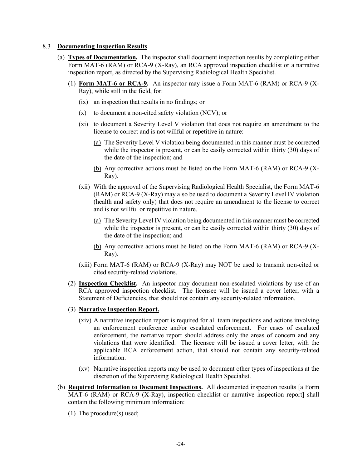#### 8.3 **Documenting Inspection Results**

- (a) **Types of Documentation.** The inspector shall document inspection results by completing either Form MAT-6 (RAM) or RCA-9 (X-Ray), an RCA approved inspection checklist or a narrative inspection report, as directed by the Supervising Radiological Health Specialist.
	- (1) **Form MAT-6 or RCA-9.** An inspector may issue a Form MAT-6 (RAM) or RCA-9 (X-Ray), while still in the field, for:
		- (ix) an inspection that results in no findings; or
		- (x) to document a non-cited safety violation (NCV); or
		- (xi) to document a Severity Level V violation that does not require an amendment to the license to correct and is not willful or repetitive in nature:
			- (a) The Severity Level V violation being documented in this manner must be corrected while the inspector is present, or can be easily corrected within thirty (30) days of the date of the inspection; and
			- (b) Any corrective actions must be listed on the Form MAT-6 (RAM) or RCA-9 (X-Ray).
		- (xii) With the approval of the Supervising Radiological Health Specialist, the Form MAT-6 (RAM) or RCA-9 (X-Ray) may also be used to document a Severity Level IV violation (health and safety only) that does not require an amendment to the license to correct and is not willful or repetitive in nature.
			- (a) The Severity Level IV violation being documented in this manner must be corrected while the inspector is present, or can be easily corrected within thirty (30) days of the date of the inspection; and
			- (b) Any corrective actions must be listed on the Form MAT-6 (RAM) or RCA-9 (X-Ray).
		- (xiii) Form MAT-6 (RAM) or RCA-9 (X-Ray) may NOT be used to transmit non-cited or cited security-related violations.
	- (2) **Inspection Checklist.** An inspector may document non-escalated violations by use of an RCA approved inspection checklist. The licensee will be issued a cover letter, with a Statement of Deficiencies, that should not contain any security-related information.
	- (3) **Narrative Inspection Report.**
		- (xiv) A narrative inspection report is required for all team inspections and actions involving an enforcement conference and/or escalated enforcement. For cases of escalated enforcement, the narrative report should address only the areas of concern and any violations that were identified. The licensee will be issued a cover letter, with the applicable RCA enforcement action, that should not contain any security-related information.
		- (xv) Narrative inspection reports may be used to document other types of inspections at the discretion of the Supervising Radiological Health Specialist.
- (b) **Required Information to Document Inspections.** All documented inspection results [a Form MAT-6 (RAM) or RCA-9 (X-Ray), inspection checklist or narrative inspection report] shall contain the following minimum information:
	- (1) The procedure(s) used;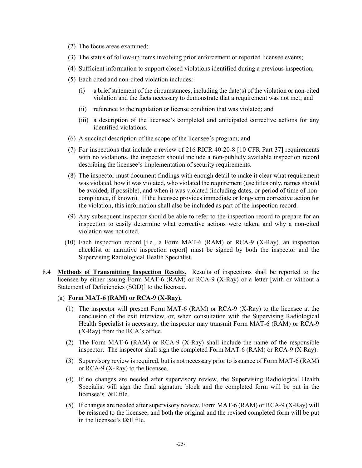- (2) The focus areas examined;
- (3) The status of follow-up items involving prior enforcement or reported licensee events;
- (4) Sufficient information to support closed violations identified during a previous inspection;
- (5) Each cited and non-cited violation includes:
	- (i) a brief statement of the circumstances, including the date(s) of the violation or non-cited violation and the facts necessary to demonstrate that a requirement was not met; and
	- (ii) reference to the regulation or license condition that was violated; and
	- (iii) a description of the licensee's completed and anticipated corrective actions for any identified violations.
- (6) A succinct description of the scope of the licensee's program; and
- (7) For inspections that include a review of 216 RICR 40-20-8 [10 CFR Part 37] requirements with no violations, the inspector should include a non-publicly available inspection record describing the licensee's implementation of security requirements.
- (8) The inspector must document findings with enough detail to make it clear what requirement was violated, how it was violated, who violated the requirement (use titles only, names should be avoided, if possible), and when it was violated (including dates, or period of time of noncompliance, if known). If the licensee provides immediate or long-term corrective action for the violation, this information shall also be included as part of the inspection record.
- (9) Any subsequent inspector should be able to refer to the inspection record to prepare for an inspection to easily determine what corrective actions were taken, and why a non-cited violation was not cited.
- (10) Each inspection record [i.e., a Form MAT-6 (RAM) or RCA-9 (X-Ray), an inspection checklist or narrative inspection report] must be signed by both the inspector and the Supervising Radiological Health Specialist.
- 8.4 **Methods of Transmitting Inspection Results.** Results of inspections shall be reported to the licensee by either issuing Form MAT-6 (RAM) or RCA-9 (X-Ray) or a letter [with or without a Statement of Deficiencies (SOD)] to the licensee.
	- (a) **Form MAT-6 (RAM) or RCA-9 (X-Ray).**
		- (1) The inspector will present Form MAT-6 (RAM) or RCA-9 (X-Ray) to the licensee at the conclusion of the exit interview, or, when consultation with the Supervising Radiological Health Specialist is necessary, the inspector may transmit Form MAT-6 (RAM) or RCA-9 (X-Ray) from the RCA's office.
		- (2) The Form MAT-6 (RAM) or RCA-9 (X-Ray) shall include the name of the responsible inspector. The inspector shall sign the completed Form MAT-6 (RAM) or RCA-9 (X-Ray).
		- (3) Supervisory review is required, but is not necessary prior to issuance of Form MAT-6 (RAM) or RCA-9 (X-Ray) to the licensee.
		- (4) If no changes are needed after supervisory review, the Supervising Radiological Health Specialist will sign the final signature block and the completed form will be put in the licensee's I&E file.
		- (5) If changes are needed after supervisory review, Form MAT-6 (RAM) or RCA-9 (X-Ray) will be reissued to the licensee, and both the original and the revised completed form will be put in the licensee's I&E file.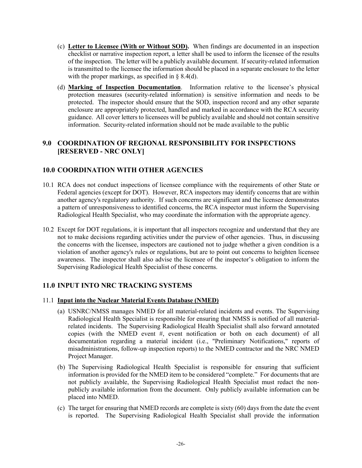- (c) **Letter to Licensee (With or Without SOD).** When findings are documented in an inspection checklist or narrative inspection report, a letter shall be used to inform the licensee of the results of the inspection. The letter will be a publicly available document. If security-related information is transmitted to the licensee the information should be placed in a separate enclosure to the letter with the proper markings, as specified in § 8.4(d).
- (d) **Marking of Inspection Documentation**. Information relative to the licensee's physical protection measures (security-related information) is sensitive information and needs to be protected. The inspector should ensure that the SOD, inspection record and any other separate enclosure are appropriately protected, handled and marked in accordance with the RCA security guidance. All cover letters to licensees will be publicly available and should not contain sensitive information. Security-related information should not be made available to the public

# **9.0 COORDINATION OF REGIONAL RESPONSIBILITY FOR INSPECTIONS [RESERVED - NRC ONLY]**

# **10.0 COORDINATION WITH OTHER AGENCIES**

- 10.1 RCA does not conduct inspections of licensee compliance with the requirements of other State or Federal agencies (except for DOT). However, RCA inspectors may identify concerns that are within another agency's regulatory authority. If such concerns are significant and the licensee demonstrates a pattern of unresponsiveness to identified concerns, the RCA inspector must inform the Supervising Radiological Health Specialist, who may coordinate the information with the appropriate agency.
- 10.2 Except for DOT regulations, it is important that all inspectors recognize and understand that they are not to make decisions regarding activities under the purview of other agencies. Thus, in discussing the concerns with the licensee, inspectors are cautioned not to judge whether a given condition is a violation of another agency's rules or regulations, but are to point out concerns to heighten licensee awareness. The inspector shall also advise the licensee of the inspector's obligation to inform the Supervising Radiological Health Specialist of these concerns.

# **11.0 INPUT INTO NRC TRACKING SYSTEMS**

#### 11.1 **Input into the Nuclear Material Events Database (NMED)**

- (a) USNRC/NMSS manages NMED for all material-related incidents and events. The Supervising Radiological Health Specialist is responsible for ensuring that NMSS is notified of all materialrelated incidents. The Supervising Radiological Health Specialist shall also forward annotated copies (with the NMED event #, event notification or both on each document) of all documentation regarding a material incident (i.e., "Preliminary Notifications," reports of misadministrations, follow-up inspection reports) to the NMED contractor and the NRC NMED Project Manager.
- (b) The Supervising Radiological Health Specialist is responsible for ensuring that sufficient information is provided for the NMED item to be considered "complete." For documents that are not publicly available, the Supervising Radiological Health Specialist must redact the nonpublicly available information from the document. Only publicly available information can be placed into NMED.
- (c) The target for ensuring that NMED records are complete is sixty (60) days from the date the event is reported. The Supervising Radiological Health Specialist shall provide the information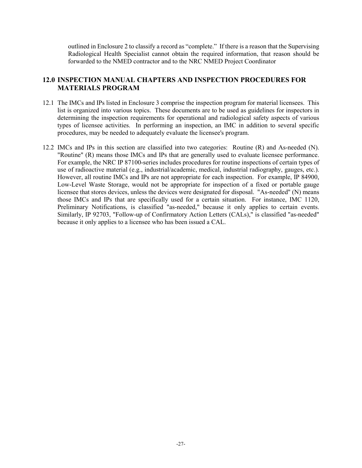outlined in Enclosure 2 to classify a record as "complete." If there is a reason that the Supervising Radiological Health Specialist cannot obtain the required information, that reason should be forwarded to the NMED contractor and to the NRC NMED Project Coordinator

# **12.0 INSPECTION MANUAL CHAPTERS AND INSPECTION PROCEDURES FOR MATERIALS PROGRAM**

- 12.1 The IMCs and IPs listed in Enclosure 3 comprise the inspection program for material licensees. This list is organized into various topics. These documents are to be used as guidelines for inspectors in determining the inspection requirements for operational and radiological safety aspects of various types of licensee activities. In performing an inspection, an IMC in addition to several specific procedures, may be needed to adequately evaluate the licensee's program.
- 12.2 IMCs and IPs in this section are classified into two categories: Routine (R) and As-needed (N). "Routine" (R) means those IMCs and IPs that are generally used to evaluate licensee performance. For example, the NRC IP 87100-series includes procedures for routine inspections of certain types of use of radioactive material (e.g., industrial/academic, medical, industrial radiography, gauges, etc.). However, all routine IMCs and IPs are not appropriate for each inspection. For example, IP 84900, Low-Level Waste Storage, would not be appropriate for inspection of a fixed or portable gauge licensee that stores devices, unless the devices were designated for disposal. "As-needed" (N) means those IMCs and IPs that are specifically used for a certain situation. For instance, IMC 1120, Preliminary Notifications, is classified "as-needed," because it only applies to certain events. Similarly, IP 92703, "Follow-up of Confirmatory Action Letters (CALs)," is classified "as-needed" because it only applies to a licensee who has been issued a CAL.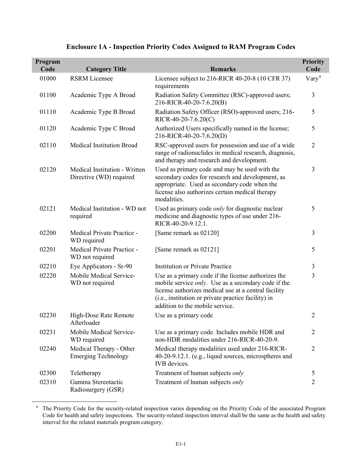| Program<br>Code | <b>Category Title</b>                                    | <b>Remarks</b>                                                                                                                                                                                                                                                       | <b>Priority</b><br>Code |
|-----------------|----------------------------------------------------------|----------------------------------------------------------------------------------------------------------------------------------------------------------------------------------------------------------------------------------------------------------------------|-------------------------|
| 01000           | <b>RSRM</b> Licensee                                     | Licensee subject to 216-RICR 40-20-8 (10 CFR 37)<br>requirements                                                                                                                                                                                                     | $\text{Var}y^9$         |
| 01100           | Academic Type A Broad                                    | Radiation Safety Committee (RSC)-approved users;<br>216-RICR-40-20-7.6.20(B)                                                                                                                                                                                         | 3                       |
| 01110           | Academic Type B Broad                                    | Radiation Safety Officer (RSO)-approved users; 216-<br>$RICR-40-20-7.6.20(C)$                                                                                                                                                                                        | 5                       |
| 01120           | Academic Type C Broad                                    | Authorized Users specifically named in the license;<br>216-RICR-40-20-7.6.20(D)                                                                                                                                                                                      | 5                       |
| 02110           | <b>Medical Institution Broad</b>                         | RSC-approved users for possession and use of a wide<br>range of radionuclides in medical research, diagnosis,<br>and therapy and research and development.                                                                                                           | $\overline{2}$          |
| 02120           | Medical Institution - Written<br>Directive (WD) required | Used as primary code and may be used with the<br>secondary codes for research and development, as<br>appropriate. Used as secondary code when the<br>license also authorizes certain medical therapy<br>modalities.                                                  | 3                       |
| 02121           | Medical Institution - WD not<br>required                 | Used as primary code only for diagnostic nuclear<br>medicine and diagnostic types of use under 216-<br>RICR-40-20-9.12.1.                                                                                                                                            | 5                       |
| 02200           | Medical Private Practice -<br>WD required                | [Same remark as 02120]                                                                                                                                                                                                                                               | $\overline{3}$          |
| 02201           | Medical Private Practice -<br>WD not required            | [Same remark as 02121]                                                                                                                                                                                                                                               | 5                       |
| 02210           | Eye Applicators - Sr-90                                  | <b>Institution or Private Practice</b>                                                                                                                                                                                                                               | $\mathfrak{Z}$          |
| 02220           | Mobile Medical Service-<br>WD not required               | Use as a primary code if the license authorizes the<br>mobile service <i>only</i> . Use as a secondary code if the<br>license authorizes medical use at a central facility<br>(i.e., institution or private practice facility) in<br>addition to the mobile service. | 3                       |
| 02230           | High-Dose Rate Remote<br>Afterloader                     | Use as a primary code                                                                                                                                                                                                                                                | $\overline{2}$          |
| 02231           | Mobile Medical Service-<br>WD required                   | Use as a primary code. Includes mobile HDR and<br>non-HDR modalities under 216-RICR-40-20-9.                                                                                                                                                                         | $\overline{2}$          |
| 02240           | Medical Therapy - Other<br><b>Emerging Technology</b>    | Medical therapy modalities used under 216-RICR-<br>40-20-9.12.1. (e.g., liquid sources, microspheres and<br>IVB devices.                                                                                                                                             | $\overline{2}$          |
| 02300           | Teletherapy                                              | Treatment of human subjects only                                                                                                                                                                                                                                     | 5                       |
| 02310           | Gamma Stereotactic<br>Radiosurgery (GSR)                 | Treatment of human subjects only                                                                                                                                                                                                                                     | $\overline{2}$          |

# **Enclosure 1A - Inspection Priority Codes Assigned to RAM Program Codes**

<span id="page-30-0"></span><sup>9</sup> The Priority Code for the security-related inspection varies depending on the Priority Code of the associated Program Code for health and safety inspections. The security-related inspection interval shall be the same as the health and safety interval for the related materials program category.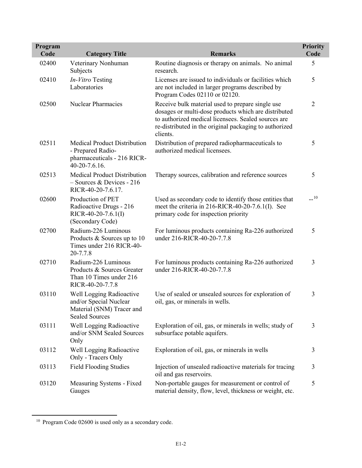| Program<br>Code | <b>Category Title</b>                                                                                    | <b>Remarks</b>                                                                                                                                                                                                                        | <b>Priority</b><br>Code |
|-----------------|----------------------------------------------------------------------------------------------------------|---------------------------------------------------------------------------------------------------------------------------------------------------------------------------------------------------------------------------------------|-------------------------|
| 02400           | Veterinary Nonhuman<br>Subjects                                                                          | Routine diagnosis or therapy on animals. No animal<br>research.                                                                                                                                                                       | 5                       |
| 02410           | In-Vitro Testing<br>Laboratories                                                                         | Licenses are issued to individuals or facilities which<br>are not included in larger programs described by<br>Program Codes 02110 or 02120.                                                                                           | 5                       |
| 02500           | <b>Nuclear Pharmacies</b>                                                                                | Receive bulk material used to prepare single use<br>dosages or multi-dose products which are distributed<br>to authorized medical licensees. Sealed sources are<br>re-distributed in the original packaging to authorized<br>clients. | $\overline{2}$          |
| 02511           | <b>Medical Product Distribution</b><br>- Prepared Radio-<br>pharmaceuticals - 216 RICR-<br>40-20-7.6.16. | Distribution of prepared radiopharmaceuticals to<br>authorized medical licensees.                                                                                                                                                     | 5                       |
| 02513           | <b>Medical Product Distribution</b><br>- Sources & Devices - 216<br>RICR-40-20-7.6.17.                   | Therapy sources, calibration and reference sources                                                                                                                                                                                    | 5                       |
| 02600           | Production of PET<br>Radioactive Drugs - 216<br>RICR-40-20-7.6.1(I)<br>(Secondary Code)                  | Used as secondary code to identify those entities that<br>meet the criteria in 216-RICR-40-20-7.6.1(I). See<br>primary code for inspection priority                                                                                   | $-10$                   |
| 02700           | Radium-226 Luminous<br>Products & Sources up to 10<br>Times under 216 RICR-40-<br>20-7.7.8               | For luminous products containing Ra-226 authorized<br>under 216-RICR-40-20-7.7.8                                                                                                                                                      | 5                       |
| 02710           | Radium-226 Luminous<br>Products & Sources Greater<br>Than 10 Times under 216<br>RICR-40-20-7.7.8         | For luminous products containing Ra-226 authorized<br>under 216-RICR-40-20-7.7.8                                                                                                                                                      | 3                       |
| 03110           | Well Logging Radioactive<br>and/or Special Nuclear<br>Material (SNM) Tracer and<br><b>Sealed Sources</b> | Use of sealed or unsealed sources for exploration of<br>oil, gas, or minerals in wells.                                                                                                                                               | 3                       |
| 03111           | Well Logging Radioactive<br>and/or SNM Sealed Sources<br>Only                                            | Exploration of oil, gas, or minerals in wells; study of<br>subsurface potable aquifers.                                                                                                                                               | 3                       |
| 03112           | Well Logging Radioactive<br>Only - Tracers Only                                                          | Exploration of oil, gas, or minerals in wells                                                                                                                                                                                         | 3                       |
| 03113           | <b>Field Flooding Studies</b>                                                                            | Injection of unsealed radioactive materials for tracing<br>oil and gas reservoirs.                                                                                                                                                    | 3                       |
| 03120           | Measuring Systems - Fixed<br>Gauges                                                                      | Non-portable gauges for measurement or control of<br>material density, flow, level, thickness or weight, etc.                                                                                                                         | 5                       |

<span id="page-31-0"></span><sup>&</sup>lt;sup>10</sup> Program Code 02600 is used only as a secondary code.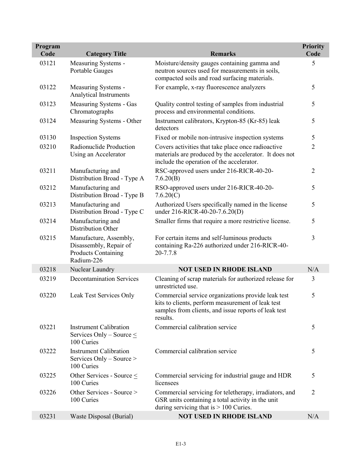| Program |                                                                                              |                                                                                                                                                                             | <b>Priority</b> |
|---------|----------------------------------------------------------------------------------------------|-----------------------------------------------------------------------------------------------------------------------------------------------------------------------------|-----------------|
| Code    | <b>Category Title</b>                                                                        | <b>Remarks</b>                                                                                                                                                              | Code            |
| 03121   | Measuring Systems -<br>Portable Gauges                                                       | Moisture/density gauges containing gamma and<br>neutron sources used for measurements in soils,<br>compacted soils and road surfacing materials.                            | 5               |
| 03122   | Measuring Systems -<br>Analytical Instruments                                                | For example, x-ray fluorescence analyzers                                                                                                                                   | 5               |
| 03123   | Measuring Systems - Gas<br>Chromatographs                                                    | Quality control testing of samples from industrial<br>process and environmental conditions.                                                                                 | 5               |
| 03124   | Measuring Systems - Other                                                                    | Instrument calibrators, Krypton-85 (Kr-85) leak<br>detectors                                                                                                                | 5               |
| 03130   | <b>Inspection Systems</b>                                                                    | Fixed or mobile non-intrusive inspection systems                                                                                                                            | 5               |
| 03210   | Radionuclide Production<br>Using an Accelerator                                              | Covers activities that take place once radioactive<br>materials are produced by the accelerator. It does not<br>include the operation of the accelerator.                   | $\overline{2}$  |
| 03211   | Manufacturing and<br>Distribution Broad - Type A                                             | RSC-approved users under 216-RICR-40-20-<br>7.6.20(B)                                                                                                                       | $\overline{2}$  |
| 03212   | Manufacturing and<br>Distribution Broad - Type B                                             | RSO-approved users under 216-RICR-40-20-<br>7.6.20(C)                                                                                                                       | 5               |
| 03213   | Manufacturing and<br>Distribution Broad - Type C                                             | Authorized Users specifically named in the license<br>under 216-RICR-40-20-7.6.20(D)                                                                                        | 5               |
| 03214   | Manufacturing and<br>Distribution Other                                                      | Smaller firms that require a more restrictive license.                                                                                                                      | 5               |
| 03215   | Manufacture, Assembly,<br>Disassembly, Repair of<br><b>Products Containing</b><br>Radium-226 | For certain items and self-luminous products<br>containing Ra-226 authorized under 216-RICR-40-<br>20-7.7.8                                                                 | $\overline{3}$  |
| 03218   | Nuclear Laundry                                                                              | <b>NOT USED IN RHODE ISLAND</b>                                                                                                                                             | N/A             |
| 03219   | <b>Decontamination Services</b>                                                              | Cleaning of scrap materials for authorized release for<br>unrestricted use.                                                                                                 | $\overline{3}$  |
| 03220   | Leak Test Services Only                                                                      | Commercial service organizations provide leak test<br>kits to clients, perform measurement of leak test<br>samples from clients, and issue reports of leak test<br>results. | 5               |
| 03221   | <b>Instrument Calibration</b><br>Services Only – Source $\leq$<br>100 Curies                 | Commercial calibration service                                                                                                                                              | 5               |
| 03222   | <b>Instrument Calibration</b><br>Services Only – Source ><br>100 Curies                      | Commercial calibration service                                                                                                                                              | 5               |
| 03225   | Other Services - Source $\leq$<br>100 Curies                                                 | Commercial servicing for industrial gauge and HDR<br>licensees                                                                                                              | 5               |
| 03226   | Other Services - Source ><br>100 Curies                                                      | Commercial servicing for teletherapy, irradiators, and<br>GSR units containing a total activity in the unit<br>during servicing that is $> 100$ Curies.                     | $\overline{2}$  |
| 03231   | Waste Disposal (Burial)                                                                      | <b>NOT USED IN RHODE ISLAND</b>                                                                                                                                             | N/A             |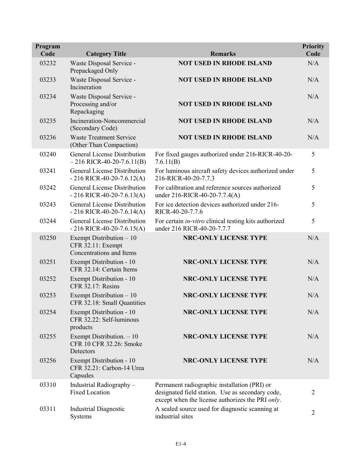| Program<br>Code | <b>Category Title</b>                                                     | <b>Remarks</b>                                                                                                                                       | <b>Priority</b><br>Code |
|-----------------|---------------------------------------------------------------------------|------------------------------------------------------------------------------------------------------------------------------------------------------|-------------------------|
| 03232           | Waste Disposal Service -<br>Prepackaged Only                              | <b>NOT USED IN RHODE ISLAND</b>                                                                                                                      | N/A                     |
| 03233           | Waste Disposal Service -<br>Incineration                                  | <b>NOT USED IN RHODE ISLAND</b>                                                                                                                      | N/A                     |
| 03234           | Waste Disposal Service -<br>Processing and/or<br>Repackaging              | <b>NOT USED IN RHODE ISLAND</b>                                                                                                                      | N/A                     |
| 03235           | Incineration-Noncommercial<br>(Secondary Code)                            | <b>NOT USED IN RHODE ISLAND</b>                                                                                                                      | N/A                     |
| 03236           | <b>Waste Treatment Service</b><br>(Other Than Compaction)                 | <b>NOT USED IN RHODE ISLAND</b>                                                                                                                      | N/A                     |
| 03240           | <b>General License Distribution</b><br>$-216$ RICR-40-20-7.6.11(B)        | For fixed gauges authorized under 216-RICR-40-20-<br>7.6.11(B)                                                                                       | 5                       |
| 03241           | <b>General License Distribution</b><br>$-216$ RICR-40-20-7.6.12(A)        | For luminous aircraft safety devices authorized under<br>216-RICR-40-20-7.7.3                                                                        | 5                       |
| 03242           | <b>General License Distribution</b><br>$-216$ RICR-40-20-7.6.13(A)        | For calibration and reference sources authorized<br>under 216-RICR-40-20-7.7.4(A)                                                                    | 5                       |
| 03243           | <b>General License Distribution</b><br>$-216$ RICR-40-20-7.6.14(A)        | For ice detection devices authorized under 216-<br>RICR-40-20-7.7.6                                                                                  | 5                       |
| 03244           | General License Distribution<br>$-216$ RICR-40-20-7.6.15(A)               | For certain <i>in-vitro</i> clinical testing kits authorized<br>under 216 RICR-40-20-7.7.7                                                           | 5                       |
| 03250           | Exempt Distribution - 10<br>CFR 32.11: Exempt<br>Concentrations and Items | <b>NRC-ONLY LICENSE TYPE</b>                                                                                                                         | N/A                     |
| 03251           | Exempt Distribution - 10<br>CFR 32.14: Certain Items                      | <b>NRC-ONLY LICENSE TYPE</b>                                                                                                                         | N/A                     |
| 03252           | Exempt Distribution - 10<br>CFR 32.17: Resins                             | <b>NRC-ONLY LICENSE TYPE</b>                                                                                                                         | N/A                     |
| 03253           | Exempt Distribution - 10<br>CFR 32.18: Small Quantities                   | <b>NRC-ONLY LICENSE TYPE</b>                                                                                                                         | N/A                     |
| 03254           | Exempt Distribution - 10<br>CFR 32.22: Self-luminous<br>products          | <b>NRC-ONLY LICENSE TYPE</b>                                                                                                                         | N/A                     |
| 03255           | Exempt Distribution. - 10<br>CFR 10 CFR 32.26: Smoke<br>Detectors         | <b>NRC-ONLY LICENSE TYPE</b>                                                                                                                         | N/A                     |
| 03256           | Exempt Distribution - 10<br>CFR 32.21: Carbon-14 Urea<br>Capsules         | <b>NRC-ONLY LICENSE TYPE</b>                                                                                                                         | N/A                     |
| 03310           | Industrial Radiography-<br><b>Fixed Location</b>                          | Permanent radiographic installation (PRI) or<br>designated field station. Use as secondary code,<br>except when the license authorizes the PRI only. | $\overline{2}$          |
| 03311           | <b>Industrial Diagnostic</b><br>Systems                                   | A sealed source used for diagnostic scanning at<br>industrial sites                                                                                  | $\overline{2}$          |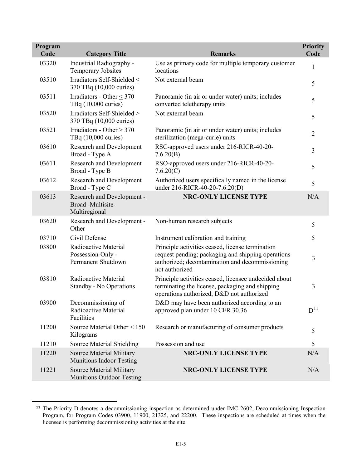| Program<br>Code | <b>Category Title</b>                                               | <b>Remarks</b>                                                                                                                                                              | <b>Priority</b><br>Code |
|-----------------|---------------------------------------------------------------------|-----------------------------------------------------------------------------------------------------------------------------------------------------------------------------|-------------------------|
| 03320           | Industrial Radiography -<br><b>Temporary Jobsites</b>               | Use as primary code for multiple temporary customer<br>locations                                                                                                            | $\mathbf{1}$            |
| 03510           | Irradiators Self-Shielded <<br>370 TBq (10,000 curies)              | Not external beam                                                                                                                                                           | 5                       |
| 03511           | Irradiators - Other < 370<br>TBq (10,000 curies)                    | Panoramic (in air or under water) units; includes<br>converted teletherapy units                                                                                            | 5                       |
| 03520           | Irradiators Self-Shielded ><br>370 TBq (10,000 curies)              | Not external beam                                                                                                                                                           | 5                       |
| 03521           | Irradiators - Other $> 370$<br>TBq (10,000 curies)                  | Panoramic (in air or under water) units; includes<br>sterilization (mega-curie) units                                                                                       | $\overline{2}$          |
| 03610           | <b>Research and Development</b><br>Broad - Type A                   | RSC-approved users under 216-RICR-40-20-<br>7.6.20(B)                                                                                                                       | 3                       |
| 03611           | Research and Development<br>Broad - Type B                          | RSO-approved users under 216-RICR-40-20-<br>7.6.20(C)                                                                                                                       | 5                       |
| 03612           | <b>Research and Development</b><br>Broad - Type C                   | Authorized users specifically named in the license<br>under 216-RICR-40-20-7.6.20(D)                                                                                        | 5                       |
| 03613           | Research and Development -<br>Broad -Multisite-<br>Multiregional    | <b>NRC-ONLY LICENSE TYPE</b>                                                                                                                                                | N/A                     |
| 03620           | Research and Development -<br>Other                                 | Non-human research subjects                                                                                                                                                 | 5                       |
| 03710           | Civil Defense                                                       | Instrument calibration and training                                                                                                                                         | 5                       |
| 03800           | Radioactive Material<br>Possession-Only -<br>Permanent Shutdown     | Principle activities ceased, license termination<br>request pending; packaging and shipping operations<br>authorized; decontamination and decommissioning<br>not authorized | 3                       |
| 03810           | Radioactive Material<br>Standby - No Operations                     | Principle activities ceased, licensee undecided about<br>terminating the license, packaging and shipping<br>operations authorized, D&D not authorized                       | 3                       |
| 03900           | Decommissioning of<br>Radioactive Material<br>Facilities            | D&D may have been authorized according to an<br>approved plan under 10 CFR 30.36                                                                                            | $\mathbf{D}^{11}$       |
| 11200           | Source Material Other < 150<br>Kilograms                            | Research or manufacturing of consumer products                                                                                                                              | 5                       |
| 11210           | <b>Source Material Shielding</b>                                    | Possession and use                                                                                                                                                          | 5                       |
| 11220           | Source Material Military<br><b>Munitions Indoor Testing</b>         | <b>NRC-ONLY LICENSE TYPE</b>                                                                                                                                                | N/A                     |
| 11221           | <b>Source Material Military</b><br><b>Munitions Outdoor Testing</b> | <b>NRC-ONLY LICENSE TYPE</b>                                                                                                                                                | N/A                     |

<span id="page-34-0"></span><sup>&</sup>lt;sup>11</sup> The Priority D denotes a decommissioning inspection as determined under IMC 2602, Decommissioning Inspection Program, for Program Codes 03900, 11900, 21325, and 22200. These inspections are scheduled at times when the licensee is performing decommissioning activities at the site.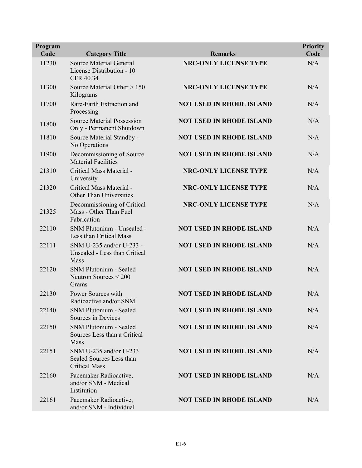| Program<br>Code | <b>Category Title</b>                                                           | <b>Remarks</b>                  | <b>Priority</b><br>Code |
|-----------------|---------------------------------------------------------------------------------|---------------------------------|-------------------------|
| 11230           | <b>Source Material General</b><br>License Distribution - 10<br><b>CFR 40.34</b> | <b>NRC-ONLY LICENSE TYPE</b>    | N/A                     |
| 11300           | Source Material Other > 150<br>Kilograms                                        | <b>NRC-ONLY LICENSE TYPE</b>    | N/A                     |
| 11700           | Rare-Earth Extraction and<br>Processing                                         | <b>NOT USED IN RHODE ISLAND</b> | N/A                     |
| 11800           | <b>Source Material Possession</b><br>Only - Permanent Shutdown                  | <b>NOT USED IN RHODE ISLAND</b> | N/A                     |
| 11810           | Source Material Standby -<br>No Operations                                      | <b>NOT USED IN RHODE ISLAND</b> | N/A                     |
| 11900           | Decommissioning of Source<br><b>Material Facilities</b>                         | <b>NOT USED IN RHODE ISLAND</b> | N/A                     |
| 21310           | Critical Mass Material -<br>University                                          | <b>NRC-ONLY LICENSE TYPE</b>    | N/A                     |
| 21320           | Critical Mass Material -<br><b>Other Than Universities</b>                      | <b>NRC-ONLY LICENSE TYPE</b>    | N/A                     |
| 21325           | Decommissioning of Critical<br>Mass - Other Than Fuel<br>Fabrication            | <b>NRC-ONLY LICENSE TYPE</b>    | N/A                     |
| 22110           | SNM Plutonium - Unsealed -<br>Less than Critical Mass                           | <b>NOT USED IN RHODE ISLAND</b> | N/A                     |
| 22111           | SNM U-235 and/or U-233 -<br>Unsealed - Less than Critical<br><b>Mass</b>        | <b>NOT USED IN RHODE ISLAND</b> | N/A                     |
| 22120           | SNM Plutonium - Sealed<br>Neutron Sources $<$ 200<br>Grams                      | <b>NOT USED IN RHODE ISLAND</b> | N/A                     |
| 22130           | Power Sources with<br>Radioactive and/or SNM                                    | <b>NOT USED IN RHODE ISLAND</b> | N/A                     |
| 22140           | <b>SNM Plutonium - Sealed</b><br>Sources in Devices                             | <b>NOT USED IN RHODE ISLAND</b> | N/A                     |
| 22150           | SNM Plutonium - Sealed<br>Sources Less than a Critical<br>Mass                  | <b>NOT USED IN RHODE ISLAND</b> | N/A                     |
| 22151           | SNM U-235 and/or U-233<br>Sealed Sources Less than<br><b>Critical Mass</b>      | <b>NOT USED IN RHODE ISLAND</b> | N/A                     |
| 22160           | Pacemaker Radioactive,<br>and/or SNM - Medical<br>Institution                   | <b>NOT USED IN RHODE ISLAND</b> | N/A                     |
| 22161           | Pacemaker Radioactive,<br>and/or SNM - Individual                               | <b>NOT USED IN RHODE ISLAND</b> | N/A                     |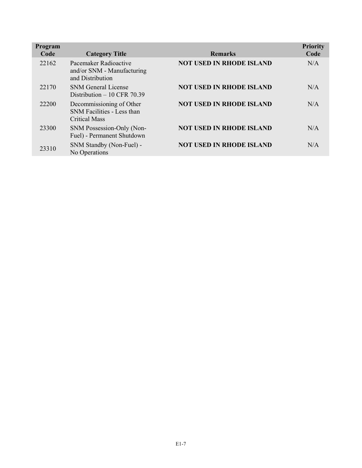| Program<br>Code | <b>Category Title</b>                                                   | <b>Remarks</b>                  | <b>Priority</b><br>Code |
|-----------------|-------------------------------------------------------------------------|---------------------------------|-------------------------|
| 22162           | Pacemaker Radioactive<br>and/or SNM - Manufacturing<br>and Distribution | <b>NOT USED IN RHODE ISLAND</b> | N/A                     |
| 22170           | <b>SNM</b> General License<br>Distribution $-10$ CFR 70.39              | <b>NOT USED IN RHODE ISLAND</b> | N/A                     |
| 22200           | Decommissioning of Other<br>SNM Facilities - Less than<br>Critical Mass | <b>NOT USED IN RHODE ISLAND</b> | N/A                     |
| 23300           | SNM Possession-Only (Non-<br>Fuel) - Permanent Shutdown                 | <b>NOT USED IN RHODE ISLAND</b> | N/A                     |
| 23310           | SNM Standby (Non-Fuel) -<br>No Operations                               | <b>NOT USED IN RHODE ISLAND</b> | N/A                     |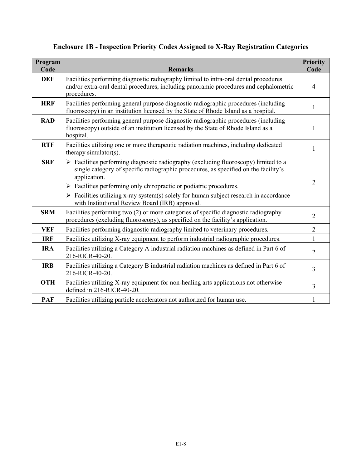| Program<br>Code | <b>Remarks</b>                                                                                                                                                                                                                                                                  | <b>Priority</b><br>Code |
|-----------------|---------------------------------------------------------------------------------------------------------------------------------------------------------------------------------------------------------------------------------------------------------------------------------|-------------------------|
| <b>DEF</b>      | Facilities performing diagnostic radiography limited to intra-oral dental procedures<br>and/or extra-oral dental procedures, including panoramic procedures and cephalometric<br>procedures.                                                                                    | $\overline{4}$          |
| <b>HRF</b>      | Facilities performing general purpose diagnostic radiographic procedures (including<br>fluoroscopy) in an institution licensed by the State of Rhode Island as a hospital.                                                                                                      | 1                       |
| <b>RAD</b>      | Facilities performing general purpose diagnostic radiographic procedures (including<br>fluoroscopy) outside of an institution licensed by the State of Rhode Island as a<br>hospital.                                                                                           | 1                       |
| <b>RTF</b>      | Facilities utilizing one or more therapeutic radiation machines, including dedicated<br>therapy simulator( $s$ ).                                                                                                                                                               | 1                       |
| <b>SRF</b>      | > Facilities performing diagnostic radiography (excluding fluoroscopy) limited to a<br>single category of specific radiographic procedures, as specified on the facility's<br>application.<br>$\triangleright$ Facilities performing only chiropractic or podiatric procedures. | $\overline{2}$          |
|                 | $\triangleright$ Facilities utilizing x-ray system(s) solely for human subject research in accordance<br>with Institutional Review Board (IRB) approval.                                                                                                                        |                         |
| <b>SRM</b>      | Facilities performing two (2) or more categories of specific diagnostic radiography<br>procedures (excluding fluoroscopy), as specified on the facility's application.                                                                                                          | $\overline{2}$          |
| <b>VEF</b>      | Facilities performing diagnostic radiography limited to veterinary procedures.                                                                                                                                                                                                  | $\overline{2}$          |
| <b>IRF</b>      | Facilities utilizing X-ray equipment to perform industrial radiographic procedures.                                                                                                                                                                                             | 1                       |
| <b>IRA</b>      | Facilities utilizing a Category A industrial radiation machines as defined in Part 6 of<br>216-RICR-40-20.                                                                                                                                                                      | $\overline{2}$          |
| <b>IRB</b>      | Facilities utilizing a Category B industrial radiation machines as defined in Part 6 of<br>216-RICR-40-20.                                                                                                                                                                      | 3                       |
| <b>OTH</b>      | Facilities utilizing X-ray equipment for non-healing arts applications not otherwise<br>defined in 216-RICR-40-20.                                                                                                                                                              | 3                       |
| <b>PAF</b>      | Facilities utilizing particle accelerators not authorized for human use.                                                                                                                                                                                                        | 1                       |

# **Enclosure 1B - Inspection Priority Codes Assigned to X-Ray Registration Categories**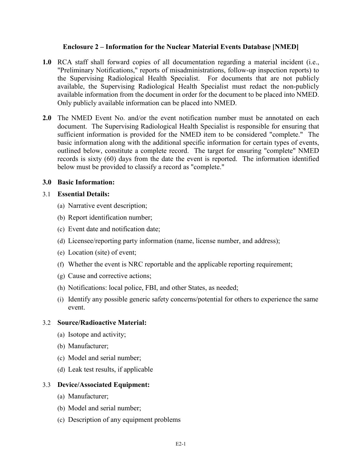## **Enclosure 2 – Information for the Nuclear Material Events Database [NMED]**

- **1.0** RCA staff shall forward copies of all documentation regarding a material incident (i.e., "Preliminary Notifications," reports of misadministrations, follow-up inspection reports) to the Supervising Radiological Health Specialist. For documents that are not publicly available, the Supervising Radiological Health Specialist must redact the non-publicly available information from the document in order for the document to be placed into NMED. Only publicly available information can be placed into NMED.
- **2.0** The NMED Event No. and/or the event notification number must be annotated on each document. The Supervising Radiological Health Specialist is responsible for ensuring that sufficient information is provided for the NMED item to be considered "complete." The basic information along with the additional specific information for certain types of events, outlined below, constitute a complete record. The target for ensuring "complete" NMED records is sixty (60) days from the date the event is reported. The information identified below must be provided to classify a record as "complete."

#### **3.0 Basic Information:**

## 3.1 **Essential Details:**

- (a) Narrative event description;
- (b) Report identification number;
- (c) Event date and notification date;
- (d) Licensee/reporting party information (name, license number, and address);
- (e) Location (site) of event;
- (f) Whether the event is NRC reportable and the applicable reporting requirement;
- (g) Cause and corrective actions;
- (h) Notifications: local police, FBI, and other States, as needed;
- (i) Identify any possible generic safety concerns/potential for others to experience the same event.

## 3.2 **Source/Radioactive Material:**

- (a) Isotope and activity;
- (b) Manufacturer;
- (c) Model and serial number;
- (d) Leak test results, if applicable

## 3.3 **Device/Associated Equipment:**

- (a) Manufacturer;
- (b) Model and serial number;
- (c) Description of any equipment problems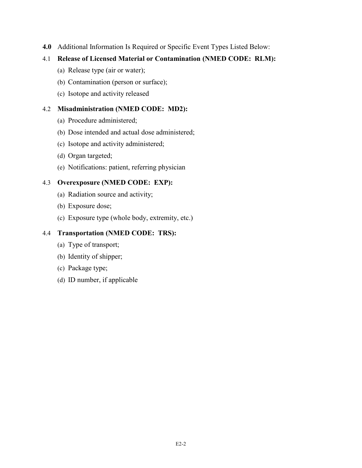**4.0** Additional Information Is Required or Specific Event Types Listed Below:

# 4.1 **Release of Licensed Material or Contamination (NMED CODE: RLM):**

- (a) Release type (air or water);
- (b) Contamination (person or surface);
- (c) Isotope and activity released

# 4.2 **Misadministration (NMED CODE: MD2):**

- (a) Procedure administered;
- (b) Dose intended and actual dose administered;
- (c) Isotope and activity administered;
- (d) Organ targeted;
- (e) Notifications: patient, referring physician

# 4.3 **Overexposure (NMED CODE: EXP):**

- (a) Radiation source and activity;
- (b) Exposure dose;
- (c) Exposure type (whole body, extremity, etc.)

# 4.4 **Transportation (NMED CODE: TRS):**

- (a) Type of transport;
- (b) Identity of shipper;
- (c) Package type;
- (d) ID number, if applicable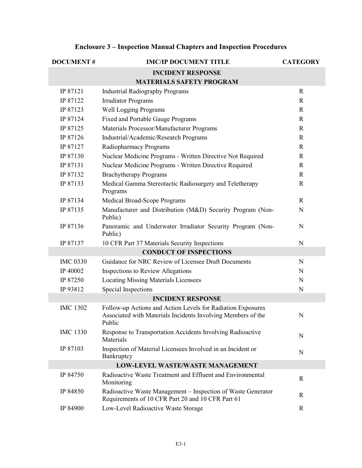| <b>DOCUMENT#</b> | <b>IMC/IP DOCUMENT TITLE</b>                                                                                                          | <b>CATEGORY</b> |
|------------------|---------------------------------------------------------------------------------------------------------------------------------------|-----------------|
|                  | <b>INCIDENT RESPONSE</b>                                                                                                              |                 |
|                  | <b>MATERIALS SAFETY PROGRAM</b>                                                                                                       |                 |
| IP 87121         | <b>Industrial Radiography Programs</b>                                                                                                | $\mathbf R$     |
| IP 87122         | <b>Irradiator Programs</b>                                                                                                            | $\mathbf R$     |
| IP 87123         | <b>Well Logging Programs</b>                                                                                                          | $\mathbf R$     |
| IP 87124         | <b>Fixed and Portable Gauge Programs</b>                                                                                              | $\mathbf R$     |
| IP 87125         | Materials Processor/Manufacturer Programs                                                                                             | $\mathbf R$     |
| IP 87126         | Industrial/Academic/Research Programs                                                                                                 | $\mathbb{R}$    |
| IP 87127         | Radiopharmacy Programs                                                                                                                | $\mathbf R$     |
| IP 87130         | Nuclear Medicine Programs - Written Directive Not Required                                                                            | $\mathbf R$     |
| IP 87131         | Nuclear Medicine Programs - Written Directive Required                                                                                | $\mathbb{R}$    |
| IP 87132         | <b>Brachytherapy Programs</b>                                                                                                         | $\mathbf R$     |
| IP 87133         | Medical Gamma Stereotactic Radiosurgery and Teletherapy<br>Programs                                                                   | $\mathbf R$     |
| IP 87134         | Medical Broad-Scope Programs                                                                                                          | $\mathbb{R}$    |
| IP 87135         | Manufacturer and Distribution (M&D) Security Program (Non-<br>Public)                                                                 | N               |
| IP 87136         | Panoramic and Underwater Irradiator Security Program (Non-<br>Public)                                                                 | N               |
| IP 87137         | 10 CFR Part 37 Materials Security Inspections                                                                                         | $\mathbf N$     |
|                  | <b>CONDUCT OF INSPECTIONS</b>                                                                                                         |                 |
| <b>IMC 0330</b>  | Guidance for NRC Review of Licensee Draft Documents                                                                                   | $\mathbf N$     |
| IP 40002         | <b>Inspections to Review Allegations</b>                                                                                              | N               |
| IP 87250         | <b>Locating Missing Materials Licensees</b>                                                                                           | N               |
| IP 93812         | Special Inspections                                                                                                                   | N               |
|                  | <b>INCIDENT RESPONSE</b>                                                                                                              |                 |
| <b>IMC 1302</b>  | Follow-up Actions and Action Levels for Radiation Exposures<br>Associated with Materials Incidents Involving Members of the<br>Public | $\mathbf N$     |
| <b>IMC 1330</b>  | Response to Transportation Accidents Involving Radioactive<br>Materials                                                               | N               |
| IP 87103         | Inspection of Material Licensees Involved in an Incident or<br>Bankruptcy                                                             | $\mathbf N$     |
|                  | <b>LOW-LEVEL WASTE/WASTE MANAGEMENT</b>                                                                                               |                 |
| IP 84750         | Radioactive Waste Treatment and Effluent and Environmental<br>Monitoring                                                              | $\mathbf R$     |
| IP 84850         | Radioactive Waste Management - Inspection of Waste Generator<br>Requirements of 10 CFR Part 20 and 10 CFR Part 61                     | R               |
| IP 84900         | Low-Level Radioactive Waste Storage                                                                                                   | $\mathbf R$     |

# **Enclosure 3 – Inspection Manual Chapters and Inspection Procedures**